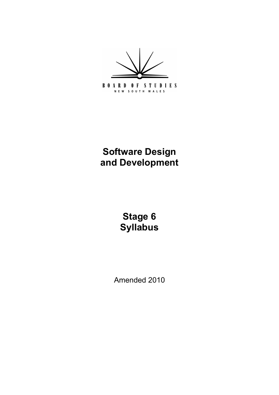**BOARD OF STUDIES** NEW SOUTH WALES

# **Software Design and Development**

**Stage 6 Syllabus**

Amended 2010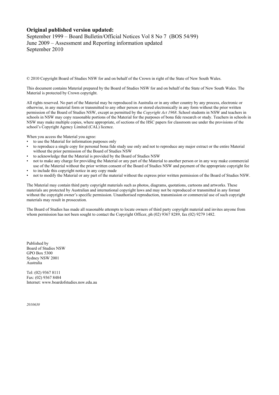#### **Original published version updated:**

September 1999 – Board Bulletin/Official Notices Vol 8 No 7 (BOS 54/99) June 2009 – Assessment and Reporting information updated September 2010

© 2010 Copyright Board of Studies NSW for and on behalf of the Crown in right of the State of New South Wales.

This document contains Material prepared by the Board of Studies NSW for and on behalf of the State of New South Wales. The Material is protected by Crown copyright.

All rights reserved. No part of the Material may be reproduced in Australia or in any other country by any process, electronic or otherwise, in any material form or transmitted to any other person or stored electronically in any form without the prior written permission of the Board of Studies NSW, except as permitted by the *Copyright Act 1968*. School students in NSW and teachers in schools in NSW may copy reasonable portions of the Material for the purposes of bona fide research or study. Teachers in schools in NSW may make multiple copies, where appropriate, of sections of the HSC papers for classroom use under the provisions of the school's Copyright Agency Limited (CAL) licence.

When you access the Material you agree:

- to use the Material for information purposes only
- to reproduce a single copy for personal bona fide study use only and not to reproduce any major extract or the entire Material without the prior permission of the Board of Studies NSW
- to acknowledge that the Material is provided by the Board of Studies NSW
- not to make any charge for providing the Material or any part of the Material to another person or in any way make commercial use of the Material without the prior written consent of the Board of Studies NSW and payment of the appropriate copyright fee
- to include this copyright notice in any copy made
- not to modify the Material or any part of the material without the express prior written permission of the Board of Studies NSW.

The Material may contain third party copyright materials such as photos, diagrams, quotations, cartoons and artworks. These materials are protected by Australian and international copyright laws and may not be reproduced or transmitted in any format without the copyright owner's specific permission. Unauthorised reproduction, transmission or commercial use of such copyright materials may result in prosecution.

The Board of Studies has made all reasonable attempts to locate owners of third party copyright material and invites anyone from whom permission has not been sought to contact the Copyright Officer, ph (02) 9367 8289, fax (02) 9279 1482.

Published by Board of Studies NSW GPO Box 5300 Sydney NSW 2001 Australia

Tel: (02) 9367 8111 Fax: (02) 9367 8484 Internet: www.boardofstudies.nsw.edu.au

*2010630*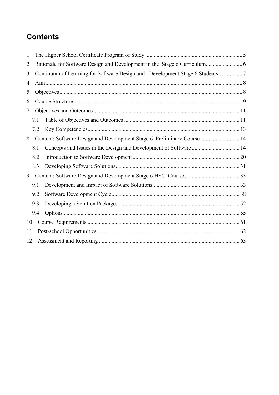# **Contents**

| 1              |     |  |                                                                        |  |  |
|----------------|-----|--|------------------------------------------------------------------------|--|--|
| $\overline{2}$ |     |  |                                                                        |  |  |
| 3              |     |  |                                                                        |  |  |
| 4              |     |  |                                                                        |  |  |
| 5              |     |  |                                                                        |  |  |
| 6              |     |  |                                                                        |  |  |
| 7              |     |  |                                                                        |  |  |
|                | 7.1 |  |                                                                        |  |  |
|                | 7.2 |  |                                                                        |  |  |
| 8              |     |  | Content: Software Design and Development Stage 6 Preliminary Course 14 |  |  |
|                | 8.1 |  |                                                                        |  |  |
|                | 8.2 |  |                                                                        |  |  |
|                | 8.3 |  |                                                                        |  |  |
| 9              |     |  |                                                                        |  |  |
|                | 9.1 |  |                                                                        |  |  |
|                | 9.2 |  |                                                                        |  |  |
|                | 9.3 |  |                                                                        |  |  |
|                | 9.4 |  |                                                                        |  |  |
| 10             |     |  |                                                                        |  |  |
| 11             |     |  |                                                                        |  |  |
| 12             |     |  |                                                                        |  |  |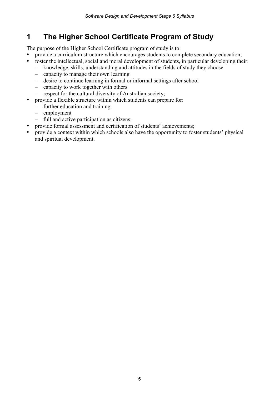## **1 The Higher School Certificate Program of Study**

The purpose of the Higher School Certificate program of study is to:

- provide a curriculum structure which encourages students to complete secondary education;
- foster the intellectual, social and moral development of students, in particular developing their:
	- knowledge, skills, understanding and attitudes in the fields of study they choose
	- capacity to manage their own learning
	- desire to continue learning in formal or informal settings after school
	- capacity to work together with others
	- respect for the cultural diversity of Australian society;
- provide a flexible structure within which students can prepare for:
	- further education and training
	- employment
	- full and active participation as citizens;
- provide formal assessment and certification of students' achievements;
- provide a context within which schools also have the opportunity to foster students' physical and spiritual development.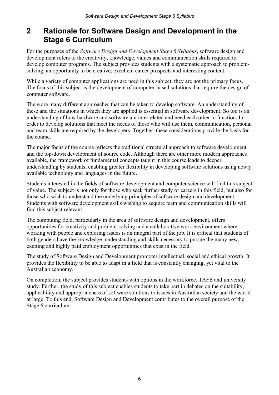## **2 Rationale for Software Design and Development in the Stage 6 Curriculum**

For the purposes of the *Software Design and Development Stage 6 Syllabus*, software design and development refers to the creativity, knowledge, values and communication skills required to develop computer programs. The subject provides students with a systematic approach to problemsolving, an opportunity to be creative, excellent career prospects and interesting content.

While a variety of computer applications are used in this subject, they are not the primary focus. The focus of this subject is the development of computer-based solutions that require the design of computer software.

There are many different approaches that can be taken to develop software. An understanding of these and the situations in which they are applied is essential in software development. So too is an understanding of how hardware and software are interrelated and need each other to function. In order to develop solutions that meet the needs of those who will use them, communication, personal and team skills are required by the developers. Together, these considerations provide the basis for the course.

The major focus of the course reflects the traditional structural approach to software development and the top-down development of source code. Although there are other more modern approaches available, the framework of fundamental concepts taught in this course leads to deeper understanding by students, enabling greater flexibility in developing software solutions using newly available technology and languages in the future.

Students interested in the fields of software development and computer science will find this subject of value. The subject is not only for those who seek further study or careers in this field, but also for those who wish to understand the underlying principles of software design and development. Students with software development skills wishing to acquire team and communication skills will find this subject relevant.

The computing field, particularly in the area of software design and development, offers opportunities for creativity and problem-solving and a collaborative work environment where working with people and exploring issues is an integral part of the job. It is critical that students of both genders have the knowledge, understanding and skills necessary to pursue the many new, exciting and highly paid employment opportunities that exist in the field.

The study of Software Design and Development promotes intellectual, social and ethical growth. It provides the flexibility to be able to adapt in a field that is constantly changing, yet vital to the Australian economy.

On completion, the subject provides students with options in the workforce, TAFE and university study. Further, the study of this subject enables students to take part in debates on the suitability, applicability and appropriateness of software solutions to issues in Australian society and the world at large. To this end, Software Design and Development contributes to the overall purpose of the Stage 6 curriculum.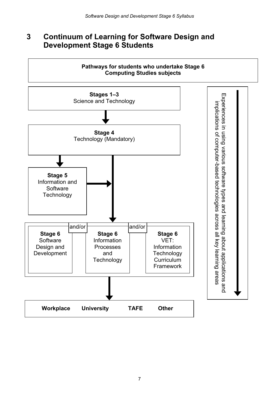## **3 Continuum of Learning for Software Design and Development Stage 6 Students**

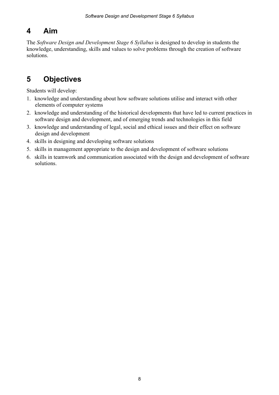# **4 Aim**

The *Software Design and Development Stage 6 Syllabus* is designed to develop in students the knowledge, understanding, skills and values to solve problems through the creation of software solutions.

# **5 Objectives**

Students will develop:

- 1. knowledge and understanding about how software solutions utilise and interact with other elements of computer systems
- 2. knowledge and understanding of the historical developments that have led to current practices in software design and development, and of emerging trends and technologies in this field
- 3. knowledge and understanding of legal, social and ethical issues and their effect on software design and development
- 4. skills in designing and developing software solutions
- 5. skills in management appropriate to the design and development of software solutions
- 6. skills in teamwork and communication associated with the design and development of software solutions.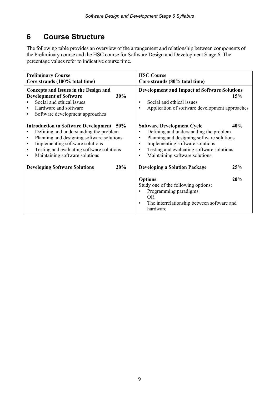# **6 Course Structure**

The following table provides an overview of the arrangement and relationship between components of the Preliminary course and the HSC course for Software Design and Development Stage 6. The percentage values refer to indicative course time.

| <b>Preliminary Course</b><br>Core strands (100% total time)                                                                                                                                                                                                                                                               | <b>HSC</b> Course<br>Core strands (80% total time)                                                                                                                                                                                                                                                                 |  |  |
|---------------------------------------------------------------------------------------------------------------------------------------------------------------------------------------------------------------------------------------------------------------------------------------------------------------------------|--------------------------------------------------------------------------------------------------------------------------------------------------------------------------------------------------------------------------------------------------------------------------------------------------------------------|--|--|
| Concepts and Issues in the Design and<br><b>Development of Software</b><br>30%<br>Social and ethical issues<br>Hardware and software<br>Software development approaches<br>$\bullet$                                                                                                                                      | <b>Development and Impact of Software Solutions</b><br><b>15%</b><br>Social and ethical issues<br>$\bullet$<br>Application of software development approaches<br>$\bullet$                                                                                                                                         |  |  |
| <b>Introduction to Software Development</b> 50%<br>Defining and understanding the problem<br>$\bullet$<br>Planning and designing software solutions<br>$\bullet$<br>Implementing software solutions<br>$\bullet$<br>Testing and evaluating software solutions<br>$\bullet$<br>Maintaining software solutions<br>$\bullet$ | 40%<br><b>Software Development Cycle</b><br>Defining and understanding the problem<br>$\bullet$<br>Planning and designing software solutions<br>$\bullet$<br>Implementing software solutions<br>$\bullet$<br>Testing and evaluating software solutions<br>$\bullet$<br>Maintaining software solutions<br>$\bullet$ |  |  |
| 20%<br><b>Developing Software Solutions</b>                                                                                                                                                                                                                                                                               | <b>Developing a Solution Package</b><br>25%                                                                                                                                                                                                                                                                        |  |  |
|                                                                                                                                                                                                                                                                                                                           | <b>Options</b><br>20%<br>Study one of the following options:<br>Programming paradigms<br>OR.<br>The interrelationship between software and<br>$\bullet$<br>hardware                                                                                                                                                |  |  |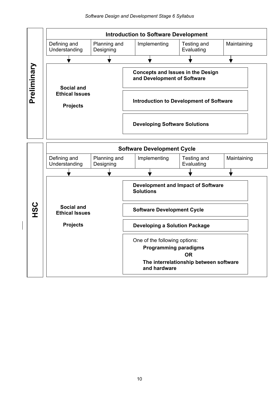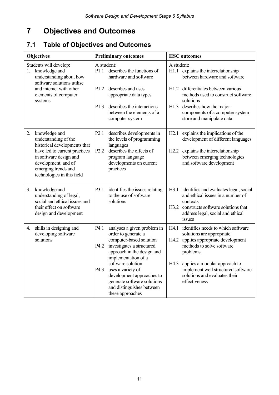# **7 Objectives and Outcomes**

## **7.1 Table of Objectives and Outcomes**

| <b>Objectives</b> |                                                                                                                                                                                                              | <b>Preliminary outcomes</b>        |                                                                                                                                                                                                                                                                                                                        | <b>HSC</b> outcomes  |                                                                                                                                                                                                                                                                      |
|-------------------|--------------------------------------------------------------------------------------------------------------------------------------------------------------------------------------------------------------|------------------------------------|------------------------------------------------------------------------------------------------------------------------------------------------------------------------------------------------------------------------------------------------------------------------------------------------------------------------|----------------------|----------------------------------------------------------------------------------------------------------------------------------------------------------------------------------------------------------------------------------------------------------------------|
| 1.                | Students will develop:<br>knowledge and<br>understanding about how<br>software solutions utilise<br>and interact with other<br>elements of computer<br>systems                                               | A student:<br>P1.1<br>P1.2<br>P1.3 | describes the functions of<br>hardware and software<br>describes and uses<br>appropriate data types<br>describes the interactions<br>between the elements of a<br>computer system                                                                                                                                      | A student:<br>H1.3   | H1.1 explains the interrelationship<br>between hardware and software<br>H1.2 differentiates between various<br>methods used to construct software<br>solutions<br>describes how the major<br>components of a computer system<br>store and manipulate data            |
| 2.                | knowledge and<br>understanding of the<br>historical developments that<br>have led to current practices<br>in software design and<br>development, and of<br>emerging trends and<br>technologies in this field | P2.1<br>P <sub>2.2</sub>           | describes developments in<br>the levels of programming<br>languages<br>describes the effects of<br>program language<br>developments on current<br>practices                                                                                                                                                            | H2.1<br>H2.2         | explains the implications of the<br>development of different languages<br>explains the interrelationship<br>between emerging technologies<br>and software development                                                                                                |
| 3.                | knowledge and<br>understanding of legal,<br>social and ethical issues and<br>their effect on software<br>design and development                                                                              | P3.1                               | identifies the issues relating<br>to the use of software<br>solutions                                                                                                                                                                                                                                                  | H3.1                 | identifies and evaluates legal, social<br>and ethical issues in a number of<br>contexts<br>H3.2 constructs software solutions that<br>address legal, social and ethical<br>issues                                                                                    |
| 4.                | skills in designing and<br>developing software<br>solutions                                                                                                                                                  | P4.1<br>P4.2<br>P <sub>4.3</sub>   | analyses a given problem in<br>order to generate a<br>computer-based solution<br>investigates a structured<br>approach in the design and<br>implementation of a<br>software solution<br>uses a variety of<br>development approaches to<br>generate software solutions<br>and distinguishes between<br>these approaches | H4.1<br>H4.2<br>H4.3 | identifies needs to which software<br>solutions are appropriate<br>applies appropriate development<br>methods to solve software<br>problems<br>applies a modular approach to<br>implement well structured software<br>solutions and evaluates their<br>effectiveness |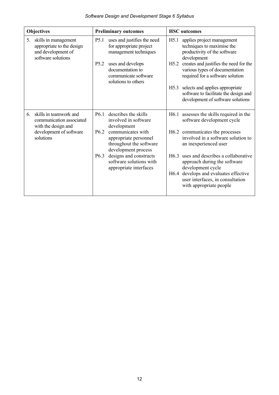| <b>Objectives</b> |                                                                                               | <b>Preliminary outcomes</b> |                                                                                              | <b>HSC</b> outcomes |                                                                                                               |
|-------------------|-----------------------------------------------------------------------------------------------|-----------------------------|----------------------------------------------------------------------------------------------|---------------------|---------------------------------------------------------------------------------------------------------------|
| 5.                | skills in management<br>appropriate to the design<br>and development of<br>software solutions | P <sub>5.1</sub>            | uses and justifies the need<br>for appropriate project<br>management techniques              | H5.1                | applies project management<br>techniques to maximise the<br>productivity of the software<br>development       |
|                   |                                                                                               | P <sub>5.2</sub>            | uses and develops<br>documentation to<br>communicate software<br>solutions to others         | H5.2                | creates and justifies the need for the<br>various types of documentation<br>required for a software solution  |
|                   |                                                                                               |                             |                                                                                              | H5.3                | selects and applies appropriate<br>software to facilitate the design and<br>development of software solutions |
| 6.                | skills in teamwork and<br>communication associated<br>with the design and                     | P <sub>6.1</sub>            | describes the skills<br>involved in software<br>development                                  |                     | H6.1 assesses the skills required in the<br>software development cycle                                        |
|                   | development of software<br>solutions                                                          | P <sub>6.2</sub>            | communicates with<br>appropriate personnel<br>throughout the software<br>development process |                     | H6.2 communicates the processes<br>involved in a software solution to<br>an inexperienced user                |
|                   |                                                                                               | P <sub>6.3</sub>            | designs and constructs<br>software solutions with<br>appropriate interfaces                  |                     | H6.3 uses and describes a collaborative<br>approach during the software<br>development cycle                  |
|                   |                                                                                               |                             |                                                                                              |                     | H6.4 develops and evaluates effective<br>user interfaces, in consultation<br>with appropriate people          |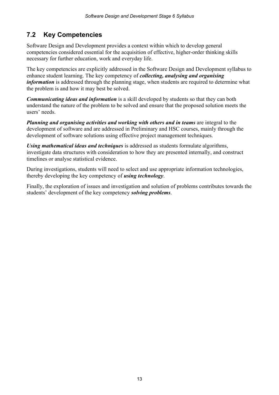## **7.2 Key Competencies**

Software Design and Development provides a context within which to develop general competencies considered essential for the acquisition of effective, higher-order thinking skills necessary for further education, work and everyday life.

The key competencies are explicitly addressed in the Software Design and Development syllabus to enhance student learning. The key competency of *collecting, analysing and organising information* is addressed through the planning stage, when students are required to determine what the problem is and how it may best be solved.

*Communicating ideas and information* is a skill developed by students so that they can both understand the nature of the problem to be solved and ensure that the proposed solution meets the users' needs.

*Planning and organising activities and working with others and in teams* are integral to the development of software and are addressed in Preliminary and HSC courses, mainly through the development of software solutions using effective project management techniques.

*Using mathematical ideas and techniques* is addressed as students formulate algorithms, investigate data structures with consideration to how they are presented internally, and construct timelines or analyse statistical evidence.

During investigations, students will need to select and use appropriate information technologies, thereby developing the key competency of *using technology*.

Finally, the exploration of issues and investigation and solution of problems contributes towards the students' development of the key competency *solving problems*.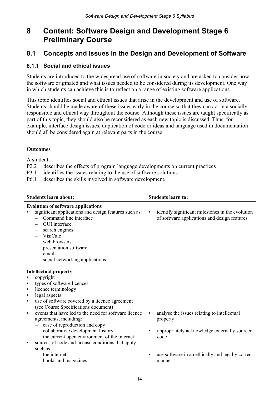## **8 Content: Software Design and Development Stage 6 Preliminary Course**

### **8.1 Concepts and Issues in the Design and Development of Software**

#### **8.1.1 Social and ethical issues**

Students are introduced to the widespread use of software in society and are asked to consider how the software originated and what issues needed to be considered during its development. One way in which students can achieve this is to reflect on a range of existing software applications.

This topic identifies social and ethical issues that arise in the development and use of software. Students should be made aware of these issues early in the course so that they can act in a socially responsible and ethical way throughout the course. Although these issues are taught specifically as part of this topic, they should also be reconsidered as each new topic is discussed. Thus, for example, interface design issues, duplication of code or ideas and language used in documentation should all be considered again at relevant parts in the course.

#### **Outcomes**

- P2.2 describes the effects of program language developments on current practices
- P3.1 identifies the issues relating to the use of software solutions
- P6.1 describes the skills involved in software development.

| <b>Students learn about:</b> |                                                                                                                                                                                                                                                             | <b>Students learn to:</b> |                                                                                                                 |  |
|------------------------------|-------------------------------------------------------------------------------------------------------------------------------------------------------------------------------------------------------------------------------------------------------------|---------------------------|-----------------------------------------------------------------------------------------------------------------|--|
| email                        | <b>Evolution of software applications</b><br>significant applications and design features such as:<br>Command line interface<br>GUI interface<br>search engines<br><b>VisiCalc</b><br>web browsers<br>presentation software                                 | $\bullet$                 | identify significant milestones in the evolution<br>of software applications and design features                |  |
|                              | social networking applications                                                                                                                                                                                                                              |                           |                                                                                                                 |  |
| <b>Intellectual property</b> |                                                                                                                                                                                                                                                             |                           |                                                                                                                 |  |
| copyright                    |                                                                                                                                                                                                                                                             |                           |                                                                                                                 |  |
|                              | types of software licences                                                                                                                                                                                                                                  |                           |                                                                                                                 |  |
| $\bullet$<br>$\bullet$       | licence terminology                                                                                                                                                                                                                                         |                           |                                                                                                                 |  |
| legal aspects<br>$\bullet$   |                                                                                                                                                                                                                                                             |                           |                                                                                                                 |  |
|                              | use of software covered by a licence agreement<br>(see Course Specifications document)                                                                                                                                                                      |                           |                                                                                                                 |  |
| $\bullet$<br>such as:        | events that have led to the need for software licence<br>agreements, including:<br>ease of reproduction and copy<br>collaborative development history<br>the current open environment of the internet<br>sources of code and license conditions that apply, | $\bullet$<br>$\bullet$    | analyse the issues relating to intellectual<br>property<br>appropriately acknowledge externally sourced<br>code |  |
|                              | the internet<br>books and magazines                                                                                                                                                                                                                         | $\bullet$                 | use software in an ethically and legally correct<br>manner                                                      |  |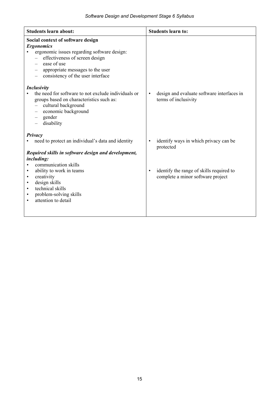| <b>Students learn about:</b>                                                                                                                                                                                                                          | <b>Students learn to:</b>                                                       |
|-------------------------------------------------------------------------------------------------------------------------------------------------------------------------------------------------------------------------------------------------------|---------------------------------------------------------------------------------|
| Social context of software design<br><b>Ergonomics</b><br>ergonomic issues regarding software design:<br>effectiveness of screen design<br>ease of use<br>appropriate messages to the user<br>consistency of the user interface<br><b>Inclusivity</b> |                                                                                 |
| the need for software to not exclude individuals or<br>groups based on characteristics such as:<br>cultural background<br>economic background<br>gender<br>disability                                                                                 | design and evaluate software interfaces in<br>$\bullet$<br>terms of inclusivity |
| Privacy<br>need to protect an individual's data and identity                                                                                                                                                                                          | identify ways in which privacy can be<br>$\bullet$<br>protected                 |
| Required skills in software design and development,                                                                                                                                                                                                   |                                                                                 |
| <i>including:</i>                                                                                                                                                                                                                                     |                                                                                 |
| communication skills<br>ability to work in teams<br>٠                                                                                                                                                                                                 | identify the range of skills required to<br>$\bullet$                           |
| creativity<br>٠                                                                                                                                                                                                                                       | complete a minor software project                                               |
| design skills<br>٠                                                                                                                                                                                                                                    |                                                                                 |
| technical skills<br>٠                                                                                                                                                                                                                                 |                                                                                 |
| problem-solving skills<br>٠<br>attention to detail                                                                                                                                                                                                    |                                                                                 |
| ٠                                                                                                                                                                                                                                                     |                                                                                 |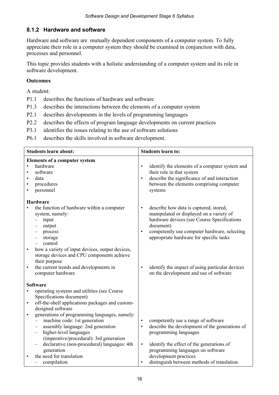#### **8.1.2 Hardware and software**

Hardware and software are mutually dependent components of a computer system. To fully appreciate their role in a computer system they should be examined in conjunction with data, processes and personnel.

This topic provides students with a holistic understanding of a computer system and its role in software development.

#### **Outcomes**

- P1.1 describes the functions of hardware and software
- P1.3 describes the interactions between the elements of a computer system
- P2.1 describes developments in the levels of programming languages
- P2.2 describes the effects of program language developments on current practices
- P3.1 identifies the issues relating to the use of software solutions
- P6.1 describes the skills involved in software development.

| <b>Students learn about:</b>                                                                                                                                                                                                                                                                                                                                                                                                                                                                                                                     | <b>Students learn to:</b>                                                                                                                                                                                                                                                                                                                                                     |  |  |
|--------------------------------------------------------------------------------------------------------------------------------------------------------------------------------------------------------------------------------------------------------------------------------------------------------------------------------------------------------------------------------------------------------------------------------------------------------------------------------------------------------------------------------------------------|-------------------------------------------------------------------------------------------------------------------------------------------------------------------------------------------------------------------------------------------------------------------------------------------------------------------------------------------------------------------------------|--|--|
| <b>Elements of a computer system</b><br>hardware<br>software<br>data<br>procedures<br>$\bullet$<br>personnel                                                                                                                                                                                                                                                                                                                                                                                                                                     | identify the elements of a computer system and<br>$\bullet$<br>their role in that system<br>describe the significance of and interaction<br>$\bullet$<br>between the elements comprising computer<br>systems                                                                                                                                                                  |  |  |
| <b>Hardware</b><br>the function of hardware within a computer<br>system, namely:<br>input<br>$\overline{\phantom{0}}$<br>output<br>process<br>storage<br>control<br>how a variety of input devices, output devices,<br>storage devices and CPU components achieve<br>their purpose<br>the current trends and developments in<br>$\bullet$<br>computer hardware                                                                                                                                                                                   | describe how data is captured, stored,<br>$\bullet$<br>manipulated or displayed on a variety of<br>hardware devices (see Course Specifications<br>document)<br>competently use computer hardware, selecting<br>$\bullet$<br>appropriate hardware for specific tasks<br>identify the impact of using particular devices<br>$\bullet$<br>on the development and use of software |  |  |
| <b>Software</b><br>operating systems and utilities (see Course<br>Specifications document)<br>off-the-shelf applications packages and custom-<br>$\bullet$<br>designed software<br>generations of programming languages, namely:<br>$\bullet$<br>machine code: 1st generation<br>assembly language: 2nd generation<br>$\qquad \qquad -$<br>higher-level languages<br>$\overline{\phantom{m}}$<br>(imperative/procedural): 3rd generation<br>declarative (non-procedural) languages: 4th<br>generation<br>the need for translation<br>compilation | competently use a range of software<br>$\bullet$<br>describe the development of the generations of<br>$\bullet$<br>programming languages<br>identify the effect of the generations of<br>$\bullet$<br>programming languages on software<br>development practices<br>distinguish between methods of translation<br>$\bullet$                                                   |  |  |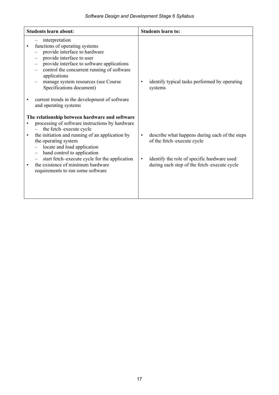|           | <b>Students learn about:</b>                                                                                                                                                                                                                                                                                                                                                                     | <b>Students learn to:</b>                                                                                                                                                                            |  |  |
|-----------|--------------------------------------------------------------------------------------------------------------------------------------------------------------------------------------------------------------------------------------------------------------------------------------------------------------------------------------------------------------------------------------------------|------------------------------------------------------------------------------------------------------------------------------------------------------------------------------------------------------|--|--|
|           | interpretation<br>functions of operating systems<br>provide interface to hardware<br>provide interface to user<br>provide interface to software applications<br>control the concurrent running of software<br>applications<br>manage system resources (see Course<br>Specifications document)<br>current trends in the development of software<br>and operating systems                          | identify typical tasks performed by operating<br>$\bullet$<br>systems                                                                                                                                |  |  |
| $\bullet$ | The relationship between hardware and software<br>processing of software instructions by hardware<br>the fetch-execute cycle<br>the initiation and running of an application by<br>the operating system<br>locate and load application<br>hand control to application<br>start fetch-execute cycle for the application<br>the existence of minimum hardware<br>requirements to run some software | describe what happens during each of the steps<br>$\bullet$<br>of the fetch-execute cycle<br>identify the role of specific hardware used<br>$\bullet$<br>during each step of the fetch-execute cycle |  |  |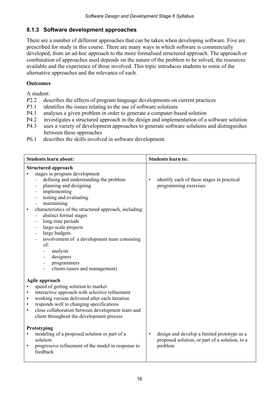#### **8.1.3 Software development approaches**

There are a number of different approaches that can be taken when developing software. Five are prescribed for study in this course. There are many ways in which software is commercially developed, from an ad-hoc approach to the more formalised structured approach. The approach or combination of approaches used depends on the nature of the problem to be solved, the resources available and the experience of those involved. This topic introduces students to some of the alternative approaches and the relevance of each.

#### **Outcomes**

- P2.2 describes the effects of program language developments on current practices
- P3.1 identifies the issues relating to the use of software solutions
- P4.1 analyses a given problem in order to generate a computer-based solution
- P4.2 investigates a structured approach in the design and implementation of a software solution
- P4.3 uses a variety of development approaches to generate software solutions and distinguishes between these approaches
- P6.1 describes the skills involved in software development.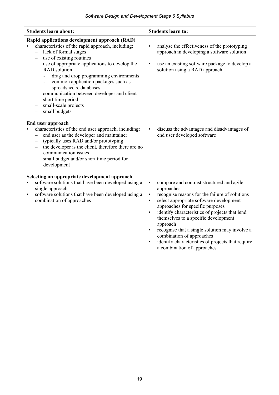| <b>Students learn about:</b>                                                                                                                                                                                                                                                                                                                                                                                                                                                                                                                                                                             | <b>Students learn to:</b>                                                                                                                                                                                                                                                                                                                                                                                                                                                                                                                       |  |  |
|----------------------------------------------------------------------------------------------------------------------------------------------------------------------------------------------------------------------------------------------------------------------------------------------------------------------------------------------------------------------------------------------------------------------------------------------------------------------------------------------------------------------------------------------------------------------------------------------------------|-------------------------------------------------------------------------------------------------------------------------------------------------------------------------------------------------------------------------------------------------------------------------------------------------------------------------------------------------------------------------------------------------------------------------------------------------------------------------------------------------------------------------------------------------|--|--|
| Rapid applications development approach (RAD)<br>characteristics of the rapid approach, including:<br>lack of formal stages<br>$\overline{\phantom{0}}$<br>use of existing routines<br>$\qquad \qquad -$<br>use of appropriate applications to develop the<br>$\qquad \qquad -$<br><b>RAD</b> solution<br>drag and drop programming environments<br>$\blacksquare$<br>common application packages such as<br>spreadsheets, databases<br>communication between developer and client<br>short time period<br>$\overline{\phantom{0}}$<br>small-scale projects<br>$\overline{\phantom{0}}$<br>small budgets | analyse the effectiveness of the prototyping<br>$\bullet$<br>approach in developing a software solution<br>use an existing software package to develop a<br>$\bullet$<br>solution using a RAD approach                                                                                                                                                                                                                                                                                                                                          |  |  |
| End user approach<br>characteristics of the end user approach, including:<br>$\bullet$<br>end user as the developer and maintainer<br>$\equiv$<br>typically uses RAD and/or prototyping<br>$\overline{\phantom{0}}$<br>the developer is the client, therefore there are no<br>$\overline{\phantom{0}}$<br>communication issues<br>small budget and/or short time period for<br>development                                                                                                                                                                                                               | discuss the advantages and disadvantages of<br>$\bullet$<br>end user developed software                                                                                                                                                                                                                                                                                                                                                                                                                                                         |  |  |
| Selecting an appropriate development approach<br>software solutions that have been developed using a<br>$\bullet$<br>single approach<br>software solutions that have been developed using a<br>$\bullet$<br>combination of approaches                                                                                                                                                                                                                                                                                                                                                                    | compare and contrast structured and agile<br>$\bullet$<br>approaches<br>recognise reasons for the failure of solutions<br>$\bullet$<br>select appropriate software development<br>$\bullet$<br>approaches for specific purposes<br>identify characteristics of projects that lend<br>$\bullet$<br>themselves to a specific development<br>approach<br>recognise that a single solution may involve a<br>$\bullet$<br>combination of approaches<br>identify characteristics of projects that require<br>$\bullet$<br>a combination of approaches |  |  |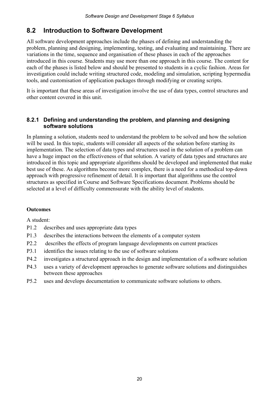### **8.2 Introduction to Software Development**

All software development approaches include the phases of defining and understanding the problem, planning and designing, implementing, testing, and evaluating and maintaining. There are variations in the time, sequence and organisation of these phases in each of the approaches introduced in this course. Students may use more than one approach in this course. The content for each of the phases is listed below and should be presented to students in a cyclic fashion. Areas for investigation could include writing structured code, modeling and simulation, scripting hypermedia tools, and customisation of application packages through modifying or creating scripts.

It is important that these areas of investigation involve the use of data types, control structures and other content covered in this unit.

#### **8.2.1 Defining and understanding the problem, and planning and designing software solutions**

In planning a solution, students need to understand the problem to be solved and how the solution will be used. In this topic, students will consider all aspects of the solution before starting its implementation. The selection of data types and structures used in the solution of a problem can have a huge impact on the effectiveness of that solution. A variety of data types and structures are introduced in this topic and appropriate algorithms should be developed and implemented that make best use of these. As algorithms become more complex, there is a need for a methodical top-down approach with progressive refinement of detail. It is important that algorithms use the control structures as specified in Course and Software Specifications document. Problems should be selected at a level of difficulty commensurate with the ability level of students.

#### **Outcomes**

- P1.2 describes and uses appropriate data types
- P1.3 describes the interactions between the elements of a computer system
- P2.2 describes the effects of program language developments on current practices
- P3.1 identifies the issues relating to the use of software solutions
- P4.2 investigates a structured approach in the design and implementation of a software solution
- P4.3 uses a variety of development approaches to generate software solutions and distinguishes between these approaches
- P5.2 uses and develops documentation to communicate software solutions to others.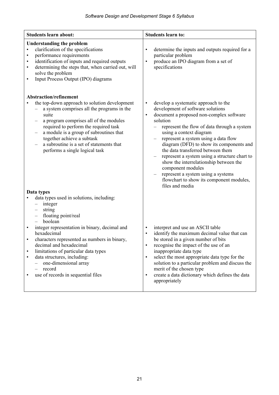| <b>Students learn about:</b>                                                                                                                                                                                                                                                                                                                                                                                                                                                                                                            | <b>Students learn to:</b>                                                                                                                                                                                                                                                                                                                                                                                                                                                                                                                                                                                |  |  |
|-----------------------------------------------------------------------------------------------------------------------------------------------------------------------------------------------------------------------------------------------------------------------------------------------------------------------------------------------------------------------------------------------------------------------------------------------------------------------------------------------------------------------------------------|----------------------------------------------------------------------------------------------------------------------------------------------------------------------------------------------------------------------------------------------------------------------------------------------------------------------------------------------------------------------------------------------------------------------------------------------------------------------------------------------------------------------------------------------------------------------------------------------------------|--|--|
| <b>Understanding the problem</b><br>clarification of the specifications<br>$\bullet$<br>performance requirements<br>$\bullet$<br>identification of inputs and required outputs<br>$\bullet$<br>determining the steps that, when carried out, will<br>$\bullet$<br>solve the problem<br>Input Process Output (IPO) diagrams<br>$\bullet$                                                                                                                                                                                                 | determine the inputs and outputs required for a<br>$\bullet$<br>particular problem<br>produce an IPO diagram from a set of<br>$\bullet$<br>specifications                                                                                                                                                                                                                                                                                                                                                                                                                                                |  |  |
| <b>Abstraction/refinement</b><br>the top-down approach to solution development<br>a system comprises all the programs in the<br>suite<br>a program comprises all of the modules<br>required to perform the required task<br>a module is a group of subroutines that<br>together achieve a subtask<br>a subroutine is a set of statements that<br>performs a single logical task<br>Data types                                                                                                                                           | develop a systematic approach to the<br>$\bullet$<br>development of software solutions<br>document a proposed non-complex software<br>$\bullet$<br>solution<br>represent the flow of data through a system<br>using a context diagram<br>represent a system using a data flow<br>$\qquad \qquad -$<br>diagram (DFD) to show its components and<br>the data transferred between them<br>represent a system using a structure chart to<br>show the interrelationship between the<br>component modules<br>represent a system using a systems<br>flowchart to show its component modules,<br>files and media |  |  |
| data types used in solutions, including:<br>integer<br>$\qquad \qquad -$<br>string<br>$\overline{\phantom{m}}$<br>floating point/real<br>$\overline{\phantom{0}}$<br>boolean<br>$\equiv$<br>integer representation in binary, decimal and<br>$\bullet$<br>hexadecimal<br>characters represented as numbers in binary,<br>decimal and hexadecimal<br>limitations of particular data types<br>$\bullet$<br>data structures, including:<br>$\bullet$<br>one-dimensional array<br>record<br>use of records in sequential files<br>$\bullet$ | interpret and use an ASCII table<br>$\bullet$<br>identify the maximum decimal value that can<br>$\bullet$<br>be stored in a given number of bits<br>recognise the impact of the use of an<br>$\bullet$<br>inappropriate data type<br>select the most appropriate data type for the<br>$\bullet$<br>solution to a particular problem and discuss the<br>merit of the chosen type<br>create a data dictionary which defines the data<br>$\bullet$<br>appropriately                                                                                                                                         |  |  |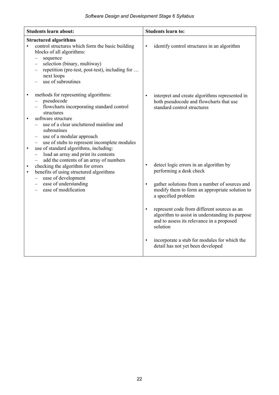|                                     | <b>Students learn about:</b>                                                                                                                                                                                                                                                                                                                                                               | <b>Students learn to:</b>                                                                                                                                                                                                                                                                                                                                                                                                                                                                        |  |  |
|-------------------------------------|--------------------------------------------------------------------------------------------------------------------------------------------------------------------------------------------------------------------------------------------------------------------------------------------------------------------------------------------------------------------------------------------|--------------------------------------------------------------------------------------------------------------------------------------------------------------------------------------------------------------------------------------------------------------------------------------------------------------------------------------------------------------------------------------------------------------------------------------------------------------------------------------------------|--|--|
| $\bullet$                           | <b>Structured algorithms</b><br>control structures which form the basic building<br>blocks of all algorithms:<br>sequence<br>$\overline{\phantom{0}}$<br>selection (binary, multiway)<br>$\qquad \qquad -$<br>repetition (pre-test, post-test), including for<br>next loops<br>use of subroutines                                                                                          | identify control structures in an algorithm<br>$\bullet$                                                                                                                                                                                                                                                                                                                                                                                                                                         |  |  |
| $\bullet$                           | methods for representing algorithms:<br>pseudocode<br>flowcharts incorporating standard control<br>structures<br>software structure<br>use of a clear uncluttered mainline and<br>subroutines                                                                                                                                                                                              | interpret and create algorithms represented in<br>$\bullet$<br>both pseudocode and flowcharts that use<br>standard control structures                                                                                                                                                                                                                                                                                                                                                            |  |  |
| $\bullet$<br>$\bullet$<br>$\bullet$ | use of a modular approach<br>use of stubs to represent incomplete modules<br>use of standard algorithms, including:<br>load an array and print its contents<br>$\overline{\phantom{0}}$<br>add the contents of an array of numbers<br>checking the algorithm for errors<br>benefits of using structured algorithms<br>ease of development<br>ease of understanding<br>ease of modification | detect logic errors in an algorithm by<br>$\bullet$<br>performing a desk check<br>gather solutions from a number of sources and<br>$\bullet$<br>modify them to form an appropriate solution to<br>a specified problem<br>represent code from different sources as an<br>$\bullet$<br>algorithm to assist in understanding its purpose<br>and to assess its relevance in a proposed<br>solution<br>incorporate a stub for modules for which the<br>$\bullet$<br>detail has not yet been developed |  |  |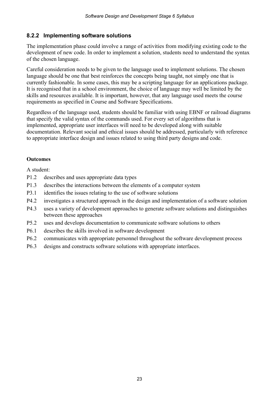#### **8.2.2 Implementing software solutions**

The implementation phase could involve a range of activities from modifying existing code to the development of new code. In order to implement a solution, students need to understand the syntax of the chosen language.

Careful consideration needs to be given to the language used to implement solutions. The chosen language should be one that best reinforces the concepts being taught, not simply one that is currently fashionable. In some cases, this may be a scripting language for an applications package. It is recognised that in a school environment, the choice of language may well be limited by the skills and resources available. It is important, however, that any language used meets the course requirements as specified in Course and Software Specifications.

Regardless of the language used, students should be familiar with using EBNF or railroad diagrams that specify the valid syntax of the commands used. For every set of algorithms that is implemented, appropriate user interfaces will need to be developed along with suitable documentation. Relevant social and ethical issues should be addressed, particularly with reference to appropriate interface design and issues related to using third party designs and code.

#### **Outcomes**

- P1.2 describes and uses appropriate data types
- P1.3 describes the interactions between the elements of a computer system
- P3.1 identifies the issues relating to the use of software solutions
- P4.2 investigates a structured approach in the design and implementation of a software solution
- P4.3 uses a variety of development approaches to generate software solutions and distinguishes between these approaches
- P5.2 uses and develops documentation to communicate software solutions to others
- P6.1 describes the skills involved in software development
- P6.2 communicates with appropriate personnel throughout the software development process
- P6.3 designs and constructs software solutions with appropriate interfaces.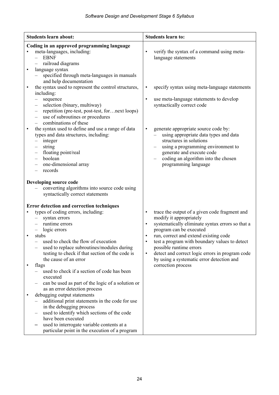| <b>Students learn about:</b> |                                                                                                                                                                                                                                                                                                                                                                                                                                                | <b>Students learn to:</b>                                                                                                                                                                                                                                                                                                                                                                                                                 |
|------------------------------|------------------------------------------------------------------------------------------------------------------------------------------------------------------------------------------------------------------------------------------------------------------------------------------------------------------------------------------------------------------------------------------------------------------------------------------------|-------------------------------------------------------------------------------------------------------------------------------------------------------------------------------------------------------------------------------------------------------------------------------------------------------------------------------------------------------------------------------------------------------------------------------------------|
|                              | Coding in an approved programming language<br>meta-languages, including:<br><b>EBNF</b><br>railroad diagrams<br>language syntax<br>specified through meta-languages in manuals<br>and help documentation<br>the syntax used to represent the control structures,<br>including:<br>sequence<br>selection (binary, multiway)<br>$\overline{\phantom{m}}$<br>repetition (pre-test, post-test, for next loops)<br>use of subroutines or procedures | verify the syntax of a command using meta-<br>$\bullet$<br>language statements<br>specify syntax using meta-language statements<br>$\bullet$<br>use meta-language statements to develop<br>$\bullet$<br>syntactically correct code                                                                                                                                                                                                        |
| $\bullet$                    | combinations of these<br>the syntax used to define and use a range of data<br>types and data structures, including:<br>integer<br>string<br>floating point/real<br>-<br>boolean<br>one-dimensional array<br>records                                                                                                                                                                                                                            | generate appropriate source code by:<br>$\bullet$<br>using appropriate data types and data<br>structures in solutions<br>using a programming environment to<br>generate and execute code<br>coding an algorithm into the chosen<br>programming language                                                                                                                                                                                   |
|                              | Developing source code<br>converting algorithms into source code using<br>syntactically correct statements                                                                                                                                                                                                                                                                                                                                     |                                                                                                                                                                                                                                                                                                                                                                                                                                           |
|                              | Error detection and correction techniques<br>types of coding errors, including:<br>syntax errors<br>runtime errors<br>logic errors<br>stubs<br>used to check the flow of execution<br>used to replace subroutines/modules during<br>testing to check if that section of the code is<br>the cause of an error<br>flags                                                                                                                          | trace the output of a given code fragment and<br>$\bullet$<br>modify it appropriately<br>systematically eliminate syntax errors so that a<br>$\bullet$<br>program can be executed<br>run, correct and extend existing code<br>test a program with boundary values to detect<br>possible runtime errors<br>detect and correct logic errors in program code<br>$\bullet$<br>by using a systematic error detection and<br>correction process |
| $\bullet$                    | used to check if a section of code has been<br>executed<br>can be used as part of the logic of a solution or<br>as an error detection process<br>debugging output statements<br>additional print statements in the code for use<br>in the debugging process                                                                                                                                                                                    |                                                                                                                                                                                                                                                                                                                                                                                                                                           |
|                              | used to identify which sections of the code<br>have been executed<br>used to interrogate variable contents at a<br>particular point in the execution of a program                                                                                                                                                                                                                                                                              |                                                                                                                                                                                                                                                                                                                                                                                                                                           |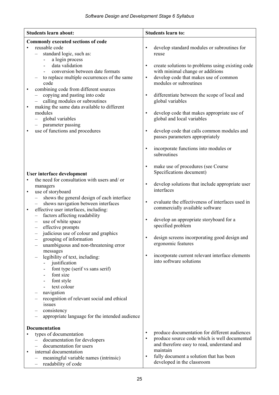| <b>Students learn about:</b>                                                                                                                                                                                                                                                                                                                                                                                                                                                                                                                                                                                                                                                                                                                                                                                                                      | <b>Students learn to:</b>                                                                                                                                                                                                                                                                                                                                                                                                                                                                                                                                                                           |
|---------------------------------------------------------------------------------------------------------------------------------------------------------------------------------------------------------------------------------------------------------------------------------------------------------------------------------------------------------------------------------------------------------------------------------------------------------------------------------------------------------------------------------------------------------------------------------------------------------------------------------------------------------------------------------------------------------------------------------------------------------------------------------------------------------------------------------------------------|-----------------------------------------------------------------------------------------------------------------------------------------------------------------------------------------------------------------------------------------------------------------------------------------------------------------------------------------------------------------------------------------------------------------------------------------------------------------------------------------------------------------------------------------------------------------------------------------------------|
| <b>Commonly executed sections of code</b><br>reusable code<br>standard logic, such as:<br>$\overline{\phantom{0}}$<br>a login process<br>$\overline{\phantom{a}}$<br>data validation<br>conversion between date formats<br>to replace multiple occurrences of the same<br>code<br>combining code from different sources<br>copying and pasting into code<br>$\overline{\phantom{0}}$<br>calling modules or subroutines<br>$\overline{\phantom{m}}$<br>making the same data available to different<br>$\bullet$<br>modules<br>global variables<br>- parameter passing<br>use of functions and procedures                                                                                                                                                                                                                                           | develop standard modules or subroutines for<br>$\bullet$<br>reuse<br>create solutions to problems using existing code<br>$\bullet$<br>with minimal change or additions<br>develop code that makes use of common<br>$\bullet$<br>modules or subroutines<br>differentiate between the scope of local and<br>$\bullet$<br>global variables<br>develop code that makes appropriate use of<br>$\bullet$<br>global and local variables<br>develop code that calls common modules and<br>$\bullet$<br>passes parameters appropriately<br>incorporate functions into modules or<br>$\bullet$<br>subroutines |
| User interface development<br>the need for consultation with users and/ or<br>managers<br>use of storyboard<br>$\bullet$<br>shows the general design of each interface<br>$ \,$<br>shows navigation between interfaces<br>effective user interfaces, including:<br>٠<br>factors affecting readability<br>$\qquad \qquad -$<br>use of white space<br>$\overline{\phantom{m}}$<br>effective prompts<br>$\qquad \qquad -$<br>judicious use of colour and graphics<br>$\overline{\phantom{m}}$<br>grouping of information<br>unambiguous and non-threatening error<br>messages<br>legibility of text, including:<br>justification<br>font type (serif vs sans serif)<br>font size<br>font style<br>text colour<br>navigation<br>recognition of relevant social and ethical<br>issues<br>consistency<br>appropriate language for the intended audience | make use of procedures (see Course<br>$\bullet$<br>Specifications document)<br>develop solutions that include appropriate user<br>$\bullet$<br>interfaces<br>evaluate the effectiveness of interfaces used in<br>$\bullet$<br>commercially available software<br>develop an appropriate storyboard for a<br>$\bullet$<br>specified problem<br>design screens incorporating good design and<br>ergonomic features<br>incorporate current relevant interface elements<br>$\bullet$<br>into software solutions                                                                                         |
| <b>Documentation</b><br>types of documentation<br>documentation for developers<br>$\overline{\phantom{0}}$<br>documentation for users<br>internal documentation<br>$\bullet$<br>meaningful variable names (intrinsic)<br>readability of code<br>$\qquad \qquad -$                                                                                                                                                                                                                                                                                                                                                                                                                                                                                                                                                                                 | produce documentation for different audiences<br>$\bullet$<br>produce source code which is well documented<br>$\bullet$<br>and therefore easy to read, understand and<br>maintain<br>fully document a solution that has been<br>$\bullet$<br>developed in the classroom                                                                                                                                                                                                                                                                                                                             |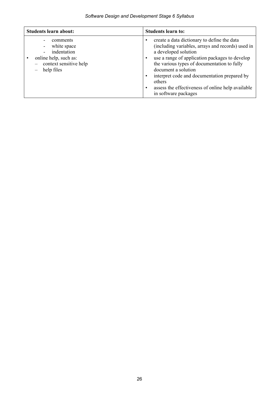| <b>Students learn about:</b>                                                                            | <b>Students learn to:</b>                                                                                                                                                                                                                                                                                                                                                                                                                   |
|---------------------------------------------------------------------------------------------------------|---------------------------------------------------------------------------------------------------------------------------------------------------------------------------------------------------------------------------------------------------------------------------------------------------------------------------------------------------------------------------------------------------------------------------------------------|
| comments<br>white space<br>indentation<br>online help, such as:<br>context sensitive help<br>help files | create a data dictionary to define the data<br>$\bullet$<br>(including variables, arrays and records) used in<br>a developed solution<br>use a range of application packages to develop<br>$\bullet$<br>the various types of documentation to fully<br>document a solution<br>interpret code and documentation prepared by<br>$\bullet$<br>others<br>assess the effectiveness of online help available<br>$\bullet$<br>in software packages |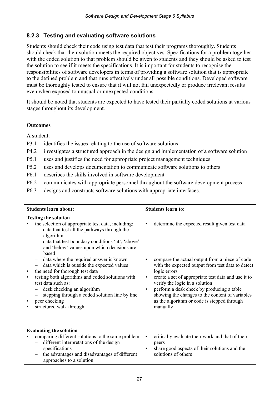#### **8.2.3 Testing and evaluating software solutions**

Students should check their code using test data that test their programs thoroughly. Students should check that their solution meets the required objectives. Specifications for a problem together with the coded solution to that problem should be given to students and they should be asked to test the solution to see if it meets the specifications. It is important for students to recognise the responsibilities of software developers in terms of providing a software solution that is appropriate to the defined problem and that runs effectively under all possible conditions. Developed software must be thoroughly tested to ensure that it will not fail unexpectedly or produce irrelevant results even when exposed to unusual or unexpected conditions.

It should be noted that students are expected to have tested their partially coded solutions at various stages throughout its development.

#### **Outcomes**

- P3.1 identifies the issues relating to the use of software solutions
- P4.2 investigates a structured approach in the design and implementation of a software solution
- P5.1 uses and justifies the need for appropriate project management techniques
- P5.2 uses and develops documentation to communicate software solutions to others
- P6.1 describes the skills involved in software development
- P6.2 communicates with appropriate personnel throughout the software development process
- P6.3 designs and constructs software solutions with appropriate interfaces.

| <b>Students learn about:</b>                                                                                                                                                                                                                                                                                                                                                                                                                                                                                                                                                                                                                          | <b>Students learn to:</b>                                                                                                                                                                                                                                                                                                                                                                                                                                       |
|-------------------------------------------------------------------------------------------------------------------------------------------------------------------------------------------------------------------------------------------------------------------------------------------------------------------------------------------------------------------------------------------------------------------------------------------------------------------------------------------------------------------------------------------------------------------------------------------------------------------------------------------------------|-----------------------------------------------------------------------------------------------------------------------------------------------------------------------------------------------------------------------------------------------------------------------------------------------------------------------------------------------------------------------------------------------------------------------------------------------------------------|
| <b>Testing the solution</b><br>the selection of appropriate test data, including:<br>data that test all the pathways through the<br>algorithm<br>data that test boundary conditions 'at', 'above'<br>and 'below' values upon which decisions are<br>based<br>data where the required answer is known<br>$\overline{\phantom{m}}$<br>data which is outside the expected values<br>the need for thorough test data<br>$\bullet$<br>testing both algorithms and coded solutions with<br>$\bullet$<br>test data such as:<br>desk checking an algorithm<br>stepping through a coded solution line by line<br>peer checking<br>٠<br>structured walk through | determine the expected result given test data<br>$\bullet$<br>compare the actual output from a piece of code<br>with the expected output from test data to detect<br>logic errors<br>create a set of appropriate test data and use it to<br>$\bullet$<br>verify the logic in a solution<br>perform a desk check by producing a table<br>$\bullet$<br>showing the changes to the content of variables<br>as the algorithm or code is stepped through<br>manually |
| <b>Evaluating the solution</b><br>comparing different solutions to the same problem<br>different interpretations of the design<br>specifications<br>the advantages and disadvantages of different<br>approaches to a solution                                                                                                                                                                                                                                                                                                                                                                                                                         | critically evaluate their work and that of their<br>$\bullet$<br>peers<br>share good aspects of their solutions and the<br>$\bullet$<br>solutions of others                                                                                                                                                                                                                                                                                                     |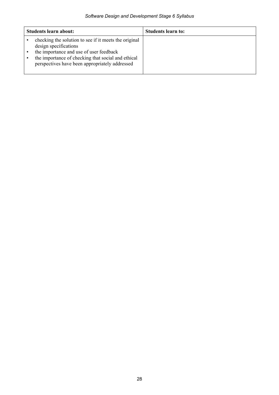| <b>Students learn about:</b>                                                                                                                                                                                                      | Students learn to: |
|-----------------------------------------------------------------------------------------------------------------------------------------------------------------------------------------------------------------------------------|--------------------|
| checking the solution to see if it meets the original<br>design specifications<br>the importance and use of user feedback<br>the importance of checking that social and ethical<br>perspectives have been appropriately addressed |                    |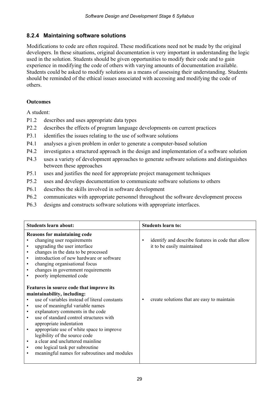#### **8.2.4 Maintaining software solutions**

Modifications to code are often required. These modifications need not be made by the original developers. In these situations, original documentation is very important in understanding the logic used in the solution. Students should be given opportunities to modify their code and to gain experience in modifying the code of others with varying amounts of documentation available. Students could be asked to modify solutions as a means of assessing their understanding. Students should be reminded of the ethical issues associated with accessing and modifying the code of others.

#### **Outcomes**

- P1.2 describes and uses appropriate data types
- P2.2 describes the effects of program language developments on current practices
- P3.1 identifies the issues relating to the use of software solutions
- P4.1 analyses a given problem in order to generate a computer-based solution
- P4.2 investigates a structured approach in the design and implementation of a software solution
- P4.3 uses a variety of development approaches to generate software solutions and distinguishes between these approaches
- P5.1 uses and justifies the need for appropriate project management techniques
- P5.2 uses and develops documentation to communicate software solutions to others
- P6.1 describes the skills involved in software development
- P6.2 communicates with appropriate personnel throughout the software development process
- P6.3 designs and constructs software solutions with appropriate interfaces.

| <b>Students learn about:</b>                                                                                                                                                                                                                                                                                                                                                                                                                                                                                                                                                                                                                                                                                                                                                                                                                                                                                                                   | <b>Students learn to:</b>                                                                                                          |
|------------------------------------------------------------------------------------------------------------------------------------------------------------------------------------------------------------------------------------------------------------------------------------------------------------------------------------------------------------------------------------------------------------------------------------------------------------------------------------------------------------------------------------------------------------------------------------------------------------------------------------------------------------------------------------------------------------------------------------------------------------------------------------------------------------------------------------------------------------------------------------------------------------------------------------------------|------------------------------------------------------------------------------------------------------------------------------------|
| <b>Reasons for maintaining code</b><br>changing user requirements<br>upgrading the user interface<br>$\bullet$<br>changes in the data to be processed<br>$\bullet$<br>introduction of new hardware or software<br>$\bullet$<br>changing organisational focus<br>$\bullet$<br>changes in government requirements<br>$\bullet$<br>poorly implemented code<br>$\bullet$<br>Features in source code that improve its<br>maintainability, including:<br>use of variables instead of literal constants<br>use of meaningful variable names<br>$\bullet$<br>explanatory comments in the code<br>$\bullet$<br>use of standard control structures with<br>$\bullet$<br>appropriate indentation<br>appropriate use of white space to improve<br>$\bullet$<br>legibility of the source code<br>a clear and uncluttered mainline<br>$\bullet$<br>one logical task per subroutine<br>$\bullet$<br>meaningful names for subroutines and modules<br>$\bullet$ | identify and describe features in code that allow<br>٠<br>it to be easily maintained<br>create solutions that are easy to maintain |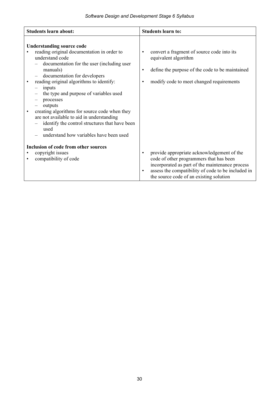| <b>Students learn about:</b>                                                                                                                                                                                                                                                                                                                                                                                                                                                                                                                            | <b>Students learn to:</b>                                                                                                                                                                                                                                           |
|---------------------------------------------------------------------------------------------------------------------------------------------------------------------------------------------------------------------------------------------------------------------------------------------------------------------------------------------------------------------------------------------------------------------------------------------------------------------------------------------------------------------------------------------------------|---------------------------------------------------------------------------------------------------------------------------------------------------------------------------------------------------------------------------------------------------------------------|
| <b>Understanding source code</b><br>reading original documentation in order to<br>understand code<br>documentation for the user (including user<br>manuals)<br>documentation for developers<br>$\overline{\phantom{m}}$<br>reading original algorithms to identify:<br>٠<br>inputs<br>the type and purpose of variables used<br>processes<br>outputs<br>creating algorithms for source code when they<br>are not available to aid in understanding<br>identify the control structures that have been<br>used<br>understand how variables have been used | convert a fragment of source code into its<br>$\bullet$<br>equivalent algorithm<br>define the purpose of the code to be maintained<br>$\bullet$<br>modify code to meet changed requirements<br>٠                                                                    |
| <b>Inclusion of code from other sources</b>                                                                                                                                                                                                                                                                                                                                                                                                                                                                                                             |                                                                                                                                                                                                                                                                     |
| copyright issues<br>compatibility of code<br>$\bullet$                                                                                                                                                                                                                                                                                                                                                                                                                                                                                                  | provide appropriate acknowledgement of the<br>$\bullet$<br>code of other programmers that has been<br>incorporated as part of the maintenance process<br>assess the compatibility of code to be included in<br>$\bullet$<br>the source code of an existing solution |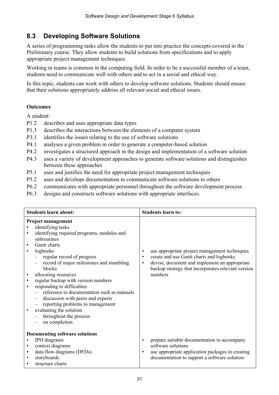### **8.3 Developing Software Solutions**

A series of programming tasks allow the students to put into practice the concepts covered in the Preliminary course. They allow students to build solutions from specifications and to apply appropriate project management techniques.

Working in teams is common in the computing field. In order to be a successful member of a team, students need to communicate well with others and to act in a social and ethical way.

In this topic, students can work with others to develop software solutions. Students should ensure that their solutions appropriately address all relevant social and ethical issues.

#### **Outcomes**

- P1.2 describes and uses appropriate data types
- P1.3 describes the interactions between the elements of a computer system
- P3.1 identifies the issues relating to the use of software solutions
- P4.1 analyses a given problem in order to generate a computer-based solution
- P4.2 investigates a structured approach in the design and implementation of a software solution
- P4.3 uses a variety of development approaches to generate software solutions and distinguishes between these approaches
- P5.1 uses and justifies the need for appropriate project management techniques
- P5.2 uses and develops documentation to communicate software solutions to others
- P6.2 communicates with appropriate personnel throughout the software development process
- P6.3 designs and constructs software solutions with appropriate interfaces.

| <b>Students learn about:</b>                                       |                                                                                                                                                                                                                                                                                                                                                                                                                                                                                                                       |                                     | <b>Students learn to:</b>                                                                                                                                                                                   |
|--------------------------------------------------------------------|-----------------------------------------------------------------------------------------------------------------------------------------------------------------------------------------------------------------------------------------------------------------------------------------------------------------------------------------------------------------------------------------------------------------------------------------------------------------------------------------------------------------------|-------------------------------------|-------------------------------------------------------------------------------------------------------------------------------------------------------------------------------------------------------------|
| $\bullet$<br>٠<br>$\bullet$<br>$\bullet$<br>$\bullet$<br>$\bullet$ | <b>Project management</b><br>identifying tasks<br>identifying required programs, modules and<br>subroutines<br>Gantt charts<br>logbooks<br>regular record of progress<br>record of major milestones and stumbling<br>blocks<br>allocating resources<br>regular backup with version numbers<br>responding to difficulties<br>reference to documentation such as manuals<br>discussion with peers and experts<br>reporting problems to management<br>evaluating the solution<br>throughout the process<br>on completion | $\bullet$<br>$\bullet$<br>$\bullet$ | use appropriate project management techniques<br>create and use Gantt charts and logbooks<br>devise, document and implement an appropriate<br>backup strategy that incorporates relevant version<br>numbers |
| ٠<br>$\bullet$<br>$\bullet$                                        | <b>Documenting software solutions</b><br>IPO diagrams<br>context diagrams<br>data flow diagrams (DFDs)<br>storyboards<br>structure charts                                                                                                                                                                                                                                                                                                                                                                             | $\bullet$<br>$\bullet$              | prepare suitable documentation to accompany<br>software solutions<br>use appropriate application packages in creating<br>documentation to support a software solution                                       |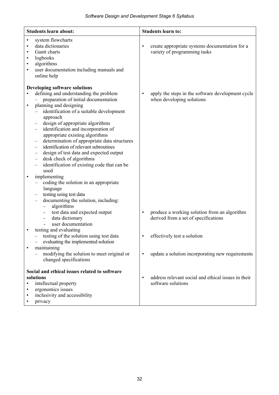| <b>Students learn about:</b>                                                                                                                                                                                                                                                                                                                                                                                                                                                                                                                                                                                                                                                                                                                          | <b>Students learn to:</b>                                                                         |
|-------------------------------------------------------------------------------------------------------------------------------------------------------------------------------------------------------------------------------------------------------------------------------------------------------------------------------------------------------------------------------------------------------------------------------------------------------------------------------------------------------------------------------------------------------------------------------------------------------------------------------------------------------------------------------------------------------------------------------------------------------|---------------------------------------------------------------------------------------------------|
| system flowcharts<br>$\bullet$<br>data dictionaries<br>Gantt charts<br>$\bullet$<br>logbooks<br>$\bullet$<br>algorithms<br>٠<br>user documentation including manuals and<br>$\bullet$<br>online help                                                                                                                                                                                                                                                                                                                                                                                                                                                                                                                                                  | create appropriate systems documentation for a<br>$\bullet$<br>variety of programming tasks       |
| <b>Developing software solutions</b>                                                                                                                                                                                                                                                                                                                                                                                                                                                                                                                                                                                                                                                                                                                  |                                                                                                   |
| defining and understanding the problem<br>preparation of initial documentation<br>planning and designing<br>$\bullet$<br>identification of a suitable development<br>approach<br>design of appropriate algorithms<br>identification and incorporation of<br>$\overline{\phantom{0}}$<br>appropriate existing algorithms<br>determination of appropriate data structures<br>identification of relevant subroutines<br>design of test data and expected output<br>desk check of algorithms<br>$\overline{\phantom{m}}$<br>identification of existing code that can be<br>$\qquad \qquad -$<br>used<br>implementing<br>$\bullet$<br>coding the solution in an appropriate<br>language<br>testing using test data<br>documenting the solution, including: | apply the steps in the software development cycle<br>$\bullet$<br>when developing solutions       |
| algorithms<br>test data and expected output<br>-<br>data dictionary<br>$\overline{\phantom{0}}$<br>user documentation                                                                                                                                                                                                                                                                                                                                                                                                                                                                                                                                                                                                                                 | produce a working solution from an algorithm<br>$\bullet$<br>derived from a set of specifications |
| testing and evaluating<br>$\bullet$<br>- testing of the solution using test data<br>evaluating the implemented solution                                                                                                                                                                                                                                                                                                                                                                                                                                                                                                                                                                                                                               | effectively test a solution<br>$\bullet$                                                          |
| maintaining<br>$\bullet$<br>modifying the solution to meet original or<br>changed specifications                                                                                                                                                                                                                                                                                                                                                                                                                                                                                                                                                                                                                                                      | update a solution incorporating new requirements<br>$\bullet$                                     |
| Social and ethical issues related to software<br>solutions<br>intellectual property<br>ergonomics issues<br>٠<br>inclusivity and accessibility<br>٠<br>privacy                                                                                                                                                                                                                                                                                                                                                                                                                                                                                                                                                                                        | address relevant social and ethical issues in their<br>$\bullet$<br>software solutions            |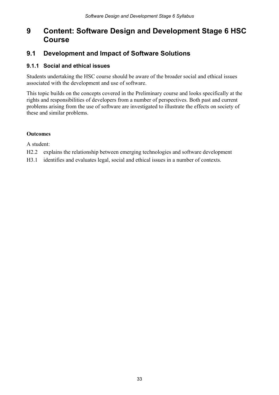## **9 Content: Software Design and Development Stage 6 HSC Course**

### **9.1 Development and Impact of Software Solutions**

#### **9.1.1 Social and ethical issues**

Students undertaking the HSC course should be aware of the broader social and ethical issues associated with the development and use of software.

This topic builds on the concepts covered in the Preliminary course and looks specifically at the rights and responsibilities of developers from a number of perspectives. Both past and current problems arising from the use of software are investigated to illustrate the effects on society of these and similar problems.

#### **Outcomes**

- H2.2 explains the relationship between emerging technologies and software development
- H3.1 identifies and evaluates legal, social and ethical issues in a number of contexts.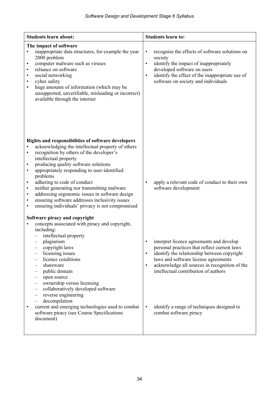| <b>Students learn about:</b>                                                                                                                                                                                                                                                                                                                                                                                                                                                                                                                                                                                                  | <b>Students learn to:</b>                                                                                                                                                                                                                                                                                                                                                               |
|-------------------------------------------------------------------------------------------------------------------------------------------------------------------------------------------------------------------------------------------------------------------------------------------------------------------------------------------------------------------------------------------------------------------------------------------------------------------------------------------------------------------------------------------------------------------------------------------------------------------------------|-----------------------------------------------------------------------------------------------------------------------------------------------------------------------------------------------------------------------------------------------------------------------------------------------------------------------------------------------------------------------------------------|
| The impact of software<br>inappropriate data structures, for example the year<br>$\bullet$<br>2000 problem<br>computer malware such as viruses<br>$\bullet$<br>reliance on software<br>$\bullet$<br>social networking<br>$\bullet$<br>cyber safety<br>$\bullet$<br>huge amounts of information (which may be<br>$\bullet$<br>unsupported, unverifiable, misleading or incorrect)<br>available through the internet                                                                                                                                                                                                            | recognise the effects of software solutions on<br>$\bullet$<br>society<br>identify the impact of inappropriately<br>$\bullet$<br>developed software on users<br>identify the effect of the inappropriate use of<br>$\bullet$<br>software on society and individuals                                                                                                                     |
| Rights and responsibilities of software developers<br>acknowledging the intellectual property of others<br>recognition by others of the developer's<br>$\bullet$<br>intellectual property<br>producing quality software solutions<br>$\bullet$<br>appropriately responding to user-identified<br>$\bullet$<br>problems<br>adhering to code of conduct<br>$\bullet$<br>neither generating nor transmitting malware<br>$\bullet$<br>addressing ergonomic issues in software design<br>$\bullet$<br>ensuring software addresses inclusivity issues<br>$\bullet$<br>ensuring individuals' privacy is not compromised<br>$\bullet$ | apply a relevant code of conduct to their own<br>$\bullet$<br>software development                                                                                                                                                                                                                                                                                                      |
| Software piracy and copyright<br>concepts associated with piracy and copyright,<br>including:<br>intellectual property<br>plagiarism<br>copyright laws<br>licensing issues<br>$\overline{\phantom{m}}$<br>licence conditions<br>shareware<br>public domain<br>open source<br>ownership versus licensing<br>collaboratively developed software<br>reverse engineering<br>$\qquad \qquad -$<br>decompilation<br>current and emerging technologies used to combat<br>$\bullet$<br>software piracy (see Course Specifications<br>document)                                                                                        | interpret licence agreements and develop<br>personal practices that reflect current laws<br>identify the relationship between copyright<br>$\bullet$<br>laws and software license agreements<br>acknowledge all sources in recognition of the<br>$\bullet$<br>intellectual contribution of authors<br>identify a range of techniques designed to<br>$\bullet$<br>combat software piracy |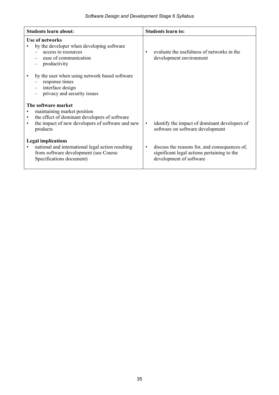| <b>Students learn about:</b>                                                                                                                        | <b>Students learn to:</b>                                                                                                            |
|-----------------------------------------------------------------------------------------------------------------------------------------------------|--------------------------------------------------------------------------------------------------------------------------------------|
| <b>Use of networks</b><br>by the developer when developing software<br>access to resources<br>ease of communication<br>productivity                 | evaluate the usefulness of networks in the<br>$\bullet$<br>development environment                                                   |
| by the user when using network based software<br>response times<br>interface design<br>privacy and security issues                                  |                                                                                                                                      |
| The software market                                                                                                                                 |                                                                                                                                      |
| maintaining market position<br>the effect of dominant developers of software<br>the impact of new developers of software and new<br>٠<br>products   | identify the impact of dominant developers of<br>$\bullet$<br>software on software development                                       |
| <b>Legal implications</b><br>national and international legal action resulting<br>from software development (see Course<br>Specifications document) | discuss the reasons for, and consequences of,<br>$\bullet$<br>significant legal actions pertaining to the<br>development of software |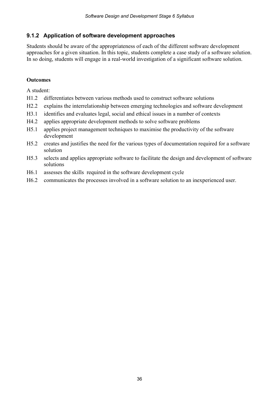#### **9.1.2 Application of software development approaches**

Students should be aware of the appropriateness of each of the different software development approaches for a given situation. In this topic, students complete a case study of a software solution. In so doing, students will engage in a real-world investigation of a significant software solution.

#### **Outcomes**

- H1.2 differentiates between various methods used to construct software solutions
- H2.2 explains the interrelationship between emerging technologies and software development
- H3.1 identifies and evaluates legal, social and ethical issues in a number of contexts
- H4.2 applies appropriate development methods to solve software problems
- H5.1 applies project management techniques to maximise the productivity of the software development
- H5.2 creates and justifies the need for the various types of documentation required for a software solution
- H5.3 selects and applies appropriate software to facilitate the design and development of software solutions
- H6.1 assesses the skills required in the software development cycle
- H6.2 communicates the processes involved in a software solution to an inexperienced user.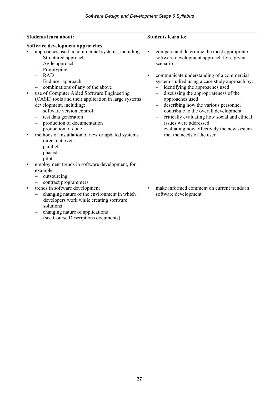| <b>Students learn about:</b>                                                                                                                                                                                                                                                                                                                                                                                                                                          | <b>Students learn to:</b>                                                                                                                                                                                                                                                                                                                                                                                                                                    |
|-----------------------------------------------------------------------------------------------------------------------------------------------------------------------------------------------------------------------------------------------------------------------------------------------------------------------------------------------------------------------------------------------------------------------------------------------------------------------|--------------------------------------------------------------------------------------------------------------------------------------------------------------------------------------------------------------------------------------------------------------------------------------------------------------------------------------------------------------------------------------------------------------------------------------------------------------|
| Software development approaches                                                                                                                                                                                                                                                                                                                                                                                                                                       |                                                                                                                                                                                                                                                                                                                                                                                                                                                              |
| approaches used in commercial systems, including:<br>Structured approach<br>$\overline{\phantom{0}}$<br>Agile approach<br>$\overline{\phantom{m}}$<br>Prototyping<br><b>RAD</b><br>End user approach<br>$\overline{\phantom{m}}$<br>combinations of any of the above<br>use of Computer Aided Software Engineering<br>$\bullet$<br>(CASE) tools and their application in large systems<br>development, including:<br>software version control<br>test data generation | compare and determine the most appropriate<br>$\bullet$<br>software development approach for a given<br>scenario<br>communicate understanding of a commercial<br>$\bullet$<br>system studied using a case study approach by:<br>identifying the approaches used<br>discussing the appropriateness of the<br>approaches used<br>describing how the various personnel<br>contribute to the overall development<br>critically evaluating how social and ethical |
| production of documentation<br>production of code<br>methods of installation of new or updated systems<br>$\bullet$<br>direct cut over<br>parallel<br>$\overline{\phantom{m}}$<br>phased<br>$-$ pilot                                                                                                                                                                                                                                                                 | issues were addressed<br>evaluating how effectively the new system<br>met the needs of the user                                                                                                                                                                                                                                                                                                                                                              |
| employment trends in software development, for<br>example:<br>outsourcing<br>contract programmers<br>trends in software development<br>$\bullet$<br>changing nature of the environment in which<br>developers work while creating software<br>solutions<br>changing nature of applications<br>(see Course Descriptions documents)                                                                                                                                     | make informed comment on current trends in<br>$\bullet$<br>software development                                                                                                                                                                                                                                                                                                                                                                              |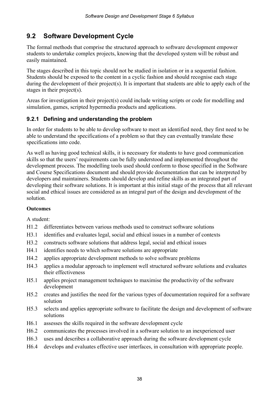### **9.2 Software Development Cycle**

The formal methods that comprise the structured approach to software development empower students to undertake complex projects, knowing that the developed system will be robust and easily maintained.

The stages described in this topic should not be studied in isolation or in a sequential fashion. Students should be exposed to the content in a cyclic fashion and should recognise each stage during the development of their project(s). It is important that students are able to apply each of the stages in their project(s).

Areas for investigation in their project(s) could include writing scripts or code for modelling and simulation, games, scripted hypermedia products and applications.

#### **9.2.1 Defining and understanding the problem**

In order for students to be able to develop software to meet an identified need, they first need to be able to understand the specifications of a problem so that they can eventually translate these specifications into code.

As well as having good technical skills, it is necessary for students to have good communication skills so that the users' requirements can be fully understood and implemented throughout the development process. The modelling tools used should conform to those specified in the Software and Course Specifications document and should provide documentation that can be interpreted by developers and maintainers. Students should develop and refine skills as an integrated part of developing their software solutions. It is important at this initial stage of the process that all relevant social and ethical issues are considered as an integral part of the design and development of the solution.

#### **Outcomes**

- H1.2 differentiates between various methods used to construct software solutions
- H3.1 identifies and evaluates legal, social and ethical issues in a number of contexts
- H3.2 constructs software solutions that address legal, social and ethical issues
- H4.1 identifies needs to which software solutions are appropriate
- H4.2 applies appropriate development methods to solve software problems
- H4.3 applies a modular approach to implement well structured software solutions and evaluates their effectiveness
- H5.1 applies project management techniques to maximise the productivity of the software development
- H5.2 creates and justifies the need for the various types of documentation required for a software solution
- H5.3 selects and applies appropriate software to facilitate the design and development of software solutions
- H6.1 assesses the skills required in the software development cycle
- H6.2 communicates the processes involved in a software solution to an inexperienced user
- H6.3 uses and describes a collaborative approach during the software development cycle
- H6.4 develops and evaluates effective user interfaces, in consultation with appropriate people.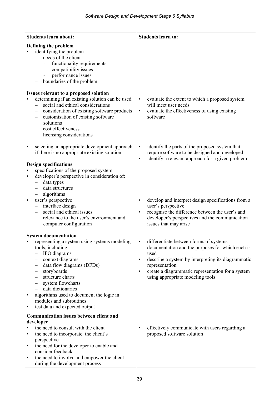| <b>Students learn about:</b>                                                                                                                                                                                                                                                                                                                                                                                                                                                                                                                                                                                                                    | <b>Students learn to:</b>                                                                                                                                                                                                                                                                                                                                                                                         |
|-------------------------------------------------------------------------------------------------------------------------------------------------------------------------------------------------------------------------------------------------------------------------------------------------------------------------------------------------------------------------------------------------------------------------------------------------------------------------------------------------------------------------------------------------------------------------------------------------------------------------------------------------|-------------------------------------------------------------------------------------------------------------------------------------------------------------------------------------------------------------------------------------------------------------------------------------------------------------------------------------------------------------------------------------------------------------------|
| Defining the problem<br>identifying the problem<br>needs of the client<br>functionality requirements<br>compatibility issues<br>$\qquad \qquad \blacksquare$<br>performance issues<br>boundaries of the problem                                                                                                                                                                                                                                                                                                                                                                                                                                 |                                                                                                                                                                                                                                                                                                                                                                                                                   |
| Issues relevant to a proposed solution<br>determining if an existing solution can be used<br>$\bullet$<br>social and ethical considerations<br>$\overline{\phantom{0}}$<br>consideration of existing software products<br>customisation of existing software<br>solutions<br>cost effectiveness<br>licensing considerations                                                                                                                                                                                                                                                                                                                     | evaluate the extent to which a proposed system<br>$\bullet$<br>will meet user needs<br>evaluate the effectiveness of using existing<br>$\bullet$<br>software                                                                                                                                                                                                                                                      |
| selecting an appropriate development approach<br>$\bullet$<br>if there is no appropriate existing solution<br><b>Design specifications</b><br>specifications of the proposed system<br>developer's perspective in consideration of:<br>$\bullet$<br>data types<br>data structures<br>algorithms<br>user's perspective<br>interface design<br>social and ethical issues<br>$\overline{\phantom{0}}$<br>relevance to the user's environment and<br>computer configuration                                                                                                                                                                         | identify the parts of the proposed system that<br>$\bullet$<br>require software to be designed and developed<br>identify a relevant approach for a given problem<br>$\bullet$<br>develop and interpret design specifications from a<br>$\bullet$<br>user's perspective<br>recognise the difference between the user's and<br>$\bullet$<br>developer's perspectives and the communication<br>issues that may arise |
| <b>System documentation</b><br>representing a system using systems modeling<br>tools, including:<br>IPO diagrams<br>context diagrams<br>data flow diagrams (DFDs)<br>$\overline{\phantom{m}}$<br>storyboards<br>structure charts<br>system flowcharts<br>data dictionaries<br>algorithms used to document the logic in<br>modules and subroutines<br>test data and expected output<br>$\bullet$<br><b>Communication issues between client and</b><br>developer<br>the need to consult with the client<br>the need to incorporate the client's<br>٠<br>perspective<br>the need for the developer to enable and<br>$\bullet$<br>consider feedback | differentiate between forms of systems<br>documentation and the purposes for which each is<br>used<br>describe a system by interpreting its diagrammatic<br>$\bullet$<br>representation<br>create a diagrammatic representation for a system<br>$\bullet$<br>using appropriate modeling tools<br>effectively communicate with users regarding a<br>$\bullet$<br>proposed software solution                        |
| the need to involve and empower the client<br>$\bullet$<br>during the development process                                                                                                                                                                                                                                                                                                                                                                                                                                                                                                                                                       |                                                                                                                                                                                                                                                                                                                                                                                                                   |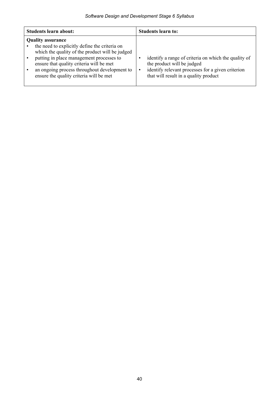| <b>Students learn about:</b>                                                                                                                                                                                                                                                                                    | <b>Students learn to:</b>                                                                                                                                                        |
|-----------------------------------------------------------------------------------------------------------------------------------------------------------------------------------------------------------------------------------------------------------------------------------------------------------------|----------------------------------------------------------------------------------------------------------------------------------------------------------------------------------|
| <b>Quality assurance</b><br>the need to explicitly define the criteria on<br>which the quality of the product will be judged<br>putting in place management processes to<br>ensure that quality criteria will be met<br>an ongoing process throughout development to<br>ensure the quality criteria will be met | identify a range of criteria on which the quality of<br>the product will be judged<br>identify relevant processes for a given criterion<br>that will result in a quality product |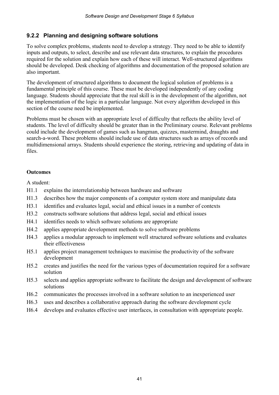#### **9.2.2 Planning and designing software solutions**

To solve complex problems, students need to develop a strategy. They need to be able to identify inputs and outputs, to select, describe and use relevant data structures, to explain the procedures required for the solution and explain how each of these will interact. Well-structured algorithms should be developed. Desk checking of algorithms and documentation of the proposed solution are also important.

The development of structured algorithms to document the logical solution of problems is a fundamental principle of this course. These must be developed independently of any coding language. Students should appreciate that the real skill is in the development of the algorithm, not the implementation of the logic in a particular language. Not every algorithm developed in this section of the course need be implemented.

Problems must be chosen with an appropriate level of difficulty that reflects the ability level of students. The level of difficulty should be greater than in the Preliminary course. Relevant problems could include the development of games such as hangman, quizzes, mastermind, draughts and search-a-word. These problems should include use of data structures such as arrays of records and multidimensional arrays. Students should experience the storing, retrieving and updating of data in files.

#### **Outcomes**

- H1.1 explains the interrelationship between hardware and software
- H1.3 describes how the major components of a computer system store and manipulate data
- H3.1 identifies and evaluates legal, social and ethical issues in a number of contexts
- H3.2 constructs software solutions that address legal, social and ethical issues
- H4.1 identifies needs to which software solutions are appropriate
- H4.2 applies appropriate development methods to solve software problems
- H4.3 applies a modular approach to implement well structured software solutions and evaluates their effectiveness
- H5.1 applies project management techniques to maximise the productivity of the software development
- H5.2 creates and justifies the need for the various types of documentation required for a software solution
- H5.3 selects and applies appropriate software to facilitate the design and development of software solutions
- H6.2 communicates the processes involved in a software solution to an inexperienced user
- H6.3 uses and describes a collaborative approach during the software development cycle
- H6.4 develops and evaluates effective user interfaces, in consultation with appropriate people.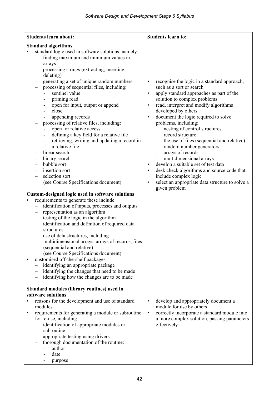| <b>Students learn about:</b>                                                                                                                                                                                                                                                                                                                                                                                                                                                                                                                                                                                                                                                                                                                                                                                                                                                                                                                                                                                                                                                                                                                                                                                                                                                                                                                                                                                                                                                                                                                                                                                | <b>Students learn to:</b>                                                                                                                                                                                                                                                                                                                                                                                                                                                                                                                                                                                                                                                                                                                                                                                                    |
|-------------------------------------------------------------------------------------------------------------------------------------------------------------------------------------------------------------------------------------------------------------------------------------------------------------------------------------------------------------------------------------------------------------------------------------------------------------------------------------------------------------------------------------------------------------------------------------------------------------------------------------------------------------------------------------------------------------------------------------------------------------------------------------------------------------------------------------------------------------------------------------------------------------------------------------------------------------------------------------------------------------------------------------------------------------------------------------------------------------------------------------------------------------------------------------------------------------------------------------------------------------------------------------------------------------------------------------------------------------------------------------------------------------------------------------------------------------------------------------------------------------------------------------------------------------------------------------------------------------|------------------------------------------------------------------------------------------------------------------------------------------------------------------------------------------------------------------------------------------------------------------------------------------------------------------------------------------------------------------------------------------------------------------------------------------------------------------------------------------------------------------------------------------------------------------------------------------------------------------------------------------------------------------------------------------------------------------------------------------------------------------------------------------------------------------------------|
| <b>Standard algorithms</b><br>standard logic used in software solutions, namely:<br>$\bullet$<br>finding maximum and minimum values in<br>arrays<br>processing strings (extracting, inserting,<br>deleting)<br>generating a set of unique random numbers<br>processing of sequential files, including:<br>sentinel value<br>priming read<br>open for input, output or append<br>close<br>۰<br>appending records<br>processing of relative files, including:<br>open for relative access<br>defining a key field for a relative file<br>retrieving, writing and updating a record in<br>a relative file<br>linear search<br>binary search<br>bubble sort<br>$\qquad \qquad -$<br>insertion sort<br>$\qquad \qquad -$<br>selection sort<br>(see Course Specifications document)<br>Custom-designed logic used in software solutions<br>requirements to generate these include:<br>identification of inputs, processes and outputs<br>$\qquad \qquad -$<br>representation as an algorithm<br>$\overline{\phantom{m}}$<br>testing of the logic in the algorithm<br>$\overline{\phantom{m}}$<br>identification and definition of required data<br>$\overline{\phantom{m}}$<br>structures<br>use of data structures, including<br>multidimensional arrays, arrays of records, files<br>(sequential and relative)<br>(see Course Specifications document)<br>customised off-the-shelf packages<br>٠<br>identifying an appropriate package<br>identifying the changes that need to be made<br>$\overline{\phantom{m}}$<br>identifying how the changes are to be made<br>Standard modules (library routines) used in | recognise the logic in a standard approach,<br>$\bullet$<br>such as a sort or search<br>apply standard approaches as part of the<br>$\bullet$<br>solution to complex problems<br>read, interpret and modify algorithms<br>$\bullet$<br>developed by others<br>document the logic required to solve<br>$\bullet$<br>problems, including:<br>nesting of control structures<br>record structure<br>the use of files (sequential and relative)<br>random number generators<br>$\overline{\phantom{m}}$<br>arrays of records<br>$\overline{\phantom{m}}$<br>multidimensional arrays<br>$\qquad \qquad -$<br>develop a suitable set of test data<br>$\bullet$<br>desk check algorithms and source code that<br>$\bullet$<br>include complex logic<br>select an appropriate data structure to solve a<br>$\bullet$<br>given problem |
| software solutions<br>reasons for the development and use of standard<br>modules<br>requirements for generating a module or subroutine<br>٠<br>for re-use, including:<br>identification of appropriate modules or<br>subroutine<br>appropriate testing using drivers<br>thorough documentation of the routine:<br>author<br>date<br>purpose                                                                                                                                                                                                                                                                                                                                                                                                                                                                                                                                                                                                                                                                                                                                                                                                                                                                                                                                                                                                                                                                                                                                                                                                                                                                 | develop and appropriately document a<br>$\bullet$<br>module for use by others<br>correctly incorporate a standard module into<br>$\bullet$<br>a more complex solution, passing parameters<br>effectively                                                                                                                                                                                                                                                                                                                                                                                                                                                                                                                                                                                                                     |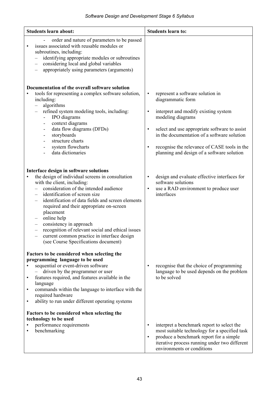| <b>Students learn about:</b>                                                                                                                                                                                                                                                                                                                                                                                                                                                                                          | <b>Students learn to:</b>                                                                                                                                                                                                                                                                                                                                            |
|-----------------------------------------------------------------------------------------------------------------------------------------------------------------------------------------------------------------------------------------------------------------------------------------------------------------------------------------------------------------------------------------------------------------------------------------------------------------------------------------------------------------------|----------------------------------------------------------------------------------------------------------------------------------------------------------------------------------------------------------------------------------------------------------------------------------------------------------------------------------------------------------------------|
| order and nature of parameters to be passed<br>issues associated with reusable modules or<br>$\bullet$<br>subroutines, including:<br>identifying appropriate modules or subroutines<br>considering local and global variables<br>appropriately using parameters (arguments)                                                                                                                                                                                                                                           |                                                                                                                                                                                                                                                                                                                                                                      |
| Documentation of the overall software solution<br>tools for representing a complex software solution,<br>including:<br>algorithms<br>$\qquad \qquad -$<br>refined system modeling tools, including:<br>IPO diagrams<br>context diagrams<br>$\overline{a}$<br>data flow diagrams (DFDs)<br>$\overline{\phantom{a}}$<br>storyboards<br>$\overline{\phantom{a}}$<br>structure charts<br>system flowcharts<br>$\overline{\phantom{a}}$<br>data dictionaries                                                               | represent a software solution in<br>$\bullet$<br>diagrammatic form<br>interpret and modify existing system<br>$\bullet$<br>modeling diagrams<br>select and use appropriate software to assist<br>$\bullet$<br>in the documentation of a software solution<br>recognise the relevance of CASE tools in the<br>$\bullet$<br>planning and design of a software solution |
| Interface design in software solutions<br>the design of individual screens in consultation<br>$\bullet$<br>with the client, including:<br>consideration of the intended audience<br>identification of screen size<br>identification of data fields and screen elements<br>required and their appropriate on-screen<br>placement<br>online help<br>consistency in approach<br>recognition of relevant social and ethical issues<br>current common practice in interface design<br>(see Course Specifications document) | design and evaluate effective interfaces for<br>$\bullet$<br>software solutions<br>use a RAD environment to produce user<br>$\bullet$<br>interfaces                                                                                                                                                                                                                  |
| Factors to be considered when selecting the<br>programming language to be used<br>sequential or event-driven software<br>$\bullet$<br>driven by the programmer or user<br>features required, and features available in the<br>$\bullet$<br>language<br>commands within the language to interface with the<br>$\bullet$<br>required hardware<br>ability to run under different operating systems<br>$\bullet$<br>Factors to be considered when selecting the<br>technology to be used                                  | recognise that the choice of programming<br>$\bullet$<br>language to be used depends on the problem<br>to be solved                                                                                                                                                                                                                                                  |
| performance requirements<br>benchmarking                                                                                                                                                                                                                                                                                                                                                                                                                                                                              | interpret a benchmark report to select the<br>$\bullet$<br>most suitable technology for a specified task<br>produce a benchmark report for a simple<br>$\bullet$<br>iterative process running under two different<br>environments or conditions                                                                                                                      |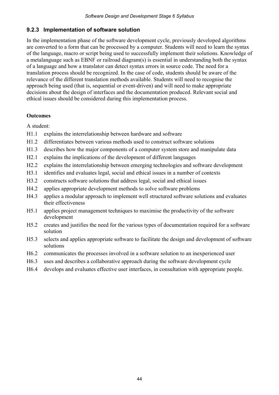#### **9.2.3 Implementation of software solution**

In the implementation phase of the software development cycle, previously developed algorithms are converted to a form that can be processed by a computer. Students will need to learn the syntax of the language, macro or script being used to successfully implement their solutions. Knowledge of a metalanguage such as EBNF or railroad diagram(s) is essential in understanding both the syntax of a language and how a translator can detect syntax errors in source code. The need for a translation process should be recognized. In the case of code, students should be aware of the relevance of the different translation methods available. Students will need to recognise the approach being used (that is, sequential or event-driven) and will need to make appropriate decisions about the design of interfaces and the documentation produced. Relevant social and ethical issues should be considered during this implementation process.

#### **Outcomes**

- H1.1 explains the interrelationship between hardware and software
- H1.2 differentiates between various methods used to construct software solutions
- H1.3 describes how the major components of a computer system store and manipulate data
- H2.1 explains the implications of the development of different languages
- H2.2 explains the interrelationship between emerging technologies and software development
- H3.1 identifies and evaluates legal, social and ethical issues in a number of contexts
- H3.2 constructs software solutions that address legal, social and ethical issues
- H4.2 applies appropriate development methods to solve software problems
- H4.3 applies a modular approach to implement well structured software solutions and evaluates their effectiveness
- H5.1 applies project management techniques to maximise the productivity of the software development
- H5.2 creates and justifies the need for the various types of documentation required for a software solution
- H5.3 selects and applies appropriate software to facilitate the design and development of software solutions
- H6.2 communicates the processes involved in a software solution to an inexperienced user
- H6.3 uses and describes a collaborative approach during the software development cycle
- H6.4 develops and evaluates effective user interfaces, in consultation with appropriate people.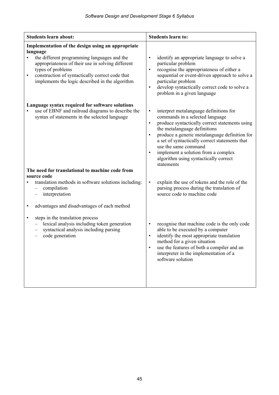| <b>Students learn about:</b>                                                                                                                                                                                                                                                                              | <b>Students learn to:</b>                                                                                                                                                                                                                                                                                                                                                                                                                |
|-----------------------------------------------------------------------------------------------------------------------------------------------------------------------------------------------------------------------------------------------------------------------------------------------------------|------------------------------------------------------------------------------------------------------------------------------------------------------------------------------------------------------------------------------------------------------------------------------------------------------------------------------------------------------------------------------------------------------------------------------------------|
| Implementation of the design using an appropriate<br>language<br>the different programming languages and the<br>appropriateness of their use in solving different<br>types of problems<br>construction of syntactically correct code that<br>$\bullet$<br>implements the logic described in the algorithm | identify an appropriate language to solve a<br>$\bullet$<br>particular problem<br>recognise the appropriateness of either a<br>$\bullet$<br>sequential or event-driven approach to solve a<br>particular problem<br>develop syntactically correct code to solve a<br>$\bullet$<br>problem in a given language                                                                                                                            |
| Language syntax required for software solutions<br>use of EBNF and railroad diagrams to describe the<br>syntax of statements in the selected language                                                                                                                                                     | interpret metalanguage definitions for<br>$\bullet$<br>commands in a selected language<br>produce syntactically correct statements using<br>$\bullet$<br>the metalanguage definitions<br>produce a generic metalanguage definition for<br>$\bullet$<br>a set of syntactically correct statements that<br>use the same command<br>implement a solution from a complex<br>$\bullet$<br>algorithm using syntactically correct<br>statements |
| The need for translational to machine code from<br>source code                                                                                                                                                                                                                                            |                                                                                                                                                                                                                                                                                                                                                                                                                                          |
| translation methods in software solutions including:<br>compilation<br>$\overline{\phantom{0}}$<br>interpretation<br>advantages and disadvantages of each method<br>$\bullet$                                                                                                                             | explain the use of tokens and the role of the<br>$\bullet$<br>parsing process during the translation of<br>source code to machine code                                                                                                                                                                                                                                                                                                   |
| steps in the translation process<br>$\bullet$<br>lexical analysis including token generation<br>syntactical analysis including parsing<br>code generation                                                                                                                                                 | recognise that machine code is the only code<br>$\bullet$<br>able to be executed by a computer<br>identify the most appropriate translation<br>$\bullet$<br>method for a given situation<br>use the features of both a compiler and an<br>$\bullet$<br>interpreter in the implementation of a<br>software solution                                                                                                                       |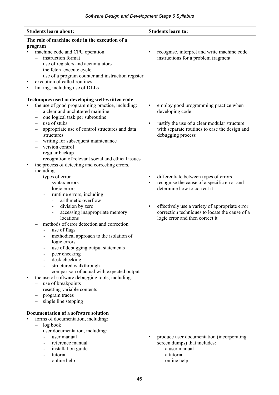| <b>Students learn about:</b><br><b>Students learn to:</b>                                                                                                              |  |
|------------------------------------------------------------------------------------------------------------------------------------------------------------------------|--|
| The role of machine code in the execution of a                                                                                                                         |  |
| program                                                                                                                                                                |  |
| machine code and CPU operation<br>recognise, interpret and write machine code<br>$\bullet$<br>$\bullet$                                                                |  |
| instruction format<br>instructions for a problem fragment                                                                                                              |  |
| use of registers and accumulators                                                                                                                                      |  |
| the fetch-execute cycle<br>$\overline{\phantom{0}}$                                                                                                                    |  |
| use of a program counter and instruction register                                                                                                                      |  |
| execution of called routines                                                                                                                                           |  |
| linking, including use of DLLs                                                                                                                                         |  |
|                                                                                                                                                                        |  |
| Techniques used in developing well-written code<br>the use of good programming practice, including:<br>employ good programming practice when<br>$\bullet$<br>$\bullet$ |  |
| a clear and uncluttered mainline<br>developing code<br>$\equiv$                                                                                                        |  |
| one logical task per subroutine                                                                                                                                        |  |
| use of stubs<br>justify the use of a clear modular structure<br>$\bullet$                                                                                              |  |
| with separate routines to ease the design and<br>appropriate use of control structures and data                                                                        |  |
| debugging process<br>structures                                                                                                                                        |  |
| writing for subsequent maintenance<br>$\overline{\phantom{m}}$                                                                                                         |  |
| version control                                                                                                                                                        |  |
| regular backup<br>$\qquad \qquad -$                                                                                                                                    |  |
| recognition of relevant social and ethical issues<br>$\qquad \qquad -$                                                                                                 |  |
| the process of detecting and correcting errors,<br>$\bullet$                                                                                                           |  |
| including:                                                                                                                                                             |  |
| types of error<br>differentiate between types of errors<br>$\bullet$                                                                                                   |  |
| recognise the cause of a specific error and<br>syntax errors<br>$\bullet$                                                                                              |  |
| determine how to correct it<br>logic errors                                                                                                                            |  |
| runtime errors, including:                                                                                                                                             |  |
| arithmetic overflow                                                                                                                                                    |  |
| division by zero<br>effectively use a variety of appropriate error<br>$\bullet$<br>$\blacksquare$                                                                      |  |
| correction techniques to locate the cause of a<br>accessing inappropriate memory<br>$\overline{\phantom{a}}$                                                           |  |
| locations<br>logic error and then correct it                                                                                                                           |  |
| methods of error detection and correction                                                                                                                              |  |
| use of flags                                                                                                                                                           |  |
| methodical approach to the isolation of<br>logic errors                                                                                                                |  |
| use of debugging output statements                                                                                                                                     |  |
| peer checking                                                                                                                                                          |  |
| desk checking                                                                                                                                                          |  |
| structured walkthrough                                                                                                                                                 |  |
| comparison of actual with expected output                                                                                                                              |  |
| the use of software debugging tools, including:                                                                                                                        |  |
| use of breakpoints                                                                                                                                                     |  |
| resetting variable contents                                                                                                                                            |  |
| program traces                                                                                                                                                         |  |
| single line stepping                                                                                                                                                   |  |
|                                                                                                                                                                        |  |
| Documentation of a software solution                                                                                                                                   |  |
| forms of documentation, including:<br>$\bullet$                                                                                                                        |  |
| log book<br>$\overline{\phantom{0}}$                                                                                                                                   |  |
| user documentation, including:<br>user manual<br>$\bullet$                                                                                                             |  |
| produce user documentation (incorporating<br>reference manual                                                                                                          |  |
| screen dumps) that includes:<br>installation guide<br>a user manual                                                                                                    |  |
| tutorial<br>a tutorial<br>$\qquad \qquad -$                                                                                                                            |  |
| online help<br>online help                                                                                                                                             |  |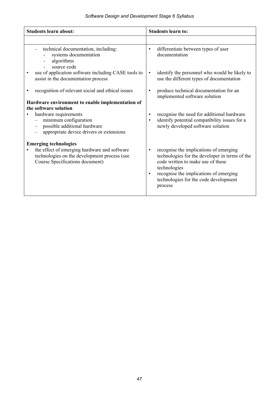| <b>Students learn about:</b>                                                                                                                                                    | <b>Students learn to:</b>                                                                                                                                                                                                                                             |
|---------------------------------------------------------------------------------------------------------------------------------------------------------------------------------|-----------------------------------------------------------------------------------------------------------------------------------------------------------------------------------------------------------------------------------------------------------------------|
|                                                                                                                                                                                 |                                                                                                                                                                                                                                                                       |
| technical documentation, including:<br>systems documentation<br>algorithms<br>source code                                                                                       | differentiate between types of user<br>$\bullet$<br>documentation                                                                                                                                                                                                     |
| use of application software including CASE tools to<br>assist in the documentation process                                                                                      | identify the personnel who would be likely to<br>$\bullet$<br>use the different types of documentation                                                                                                                                                                |
| recognition of relevant social and ethical issues                                                                                                                               | produce technical documentation for an<br>$\bullet$<br>implemented software solution                                                                                                                                                                                  |
| Hardware environment to enable implementation of                                                                                                                                |                                                                                                                                                                                                                                                                       |
| the software solution<br>hardware requirements<br>minimum configuration<br>$\overline{\phantom{0}}$<br>possible additional hardware<br>appropriate device drivers or extensions | recognise the need for additional hardware<br>$\bullet$<br>identify potential compatibility issues for a<br>$\bullet$<br>newly developed software solution                                                                                                            |
| <b>Emerging technologies</b><br>the effect of emerging hardware and software<br>$\bullet$<br>technologies on the development process (see<br>Course Specifications document)    | recognise the implications of emerging<br>$\bullet$<br>technologies for the developer in terms of the<br>code written to make use of these<br>technologies<br>recognise the implications of emerging<br>$\bullet$<br>technologies for the code development<br>process |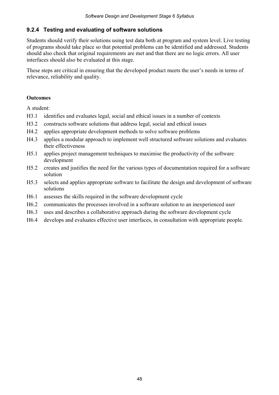#### **9.2.4 Testing and evaluating of software solutions**

Students should verify their solutions using test data both at program and system level. Live testing of programs should take place so that potential problems can be identified and addressed. Students should also check that original requirements are met and that there are no logic errors. All user interfaces should also be evaluated at this stage.

These steps are critical in ensuring that the developed product meets the user's needs in terms of relevance, reliability and quality.

#### **Outcomes**

- H3.1 identifies and evaluates legal, social and ethical issues in a number of contexts
- H3.2 constructs software solutions that address legal, social and ethical issues
- H4.2 applies appropriate development methods to solve software problems
- H4.3 applies a modular approach to implement well structured software solutions and evaluates their effectiveness
- H5.1 applies project management techniques to maximise the productivity of the software development
- H5.2 creates and justifies the need for the various types of documentation required for a software solution
- H5.3 selects and applies appropriate software to facilitate the design and development of software solutions
- H6.1 assesses the skills required in the software development cycle
- H6.2 communicates the processes involved in a software solution to an inexperienced user
- H6.3 uses and describes a collaborative approach during the software development cycle
- H6.4 develops and evaluates effective user interfaces, in consultation with appropriate people.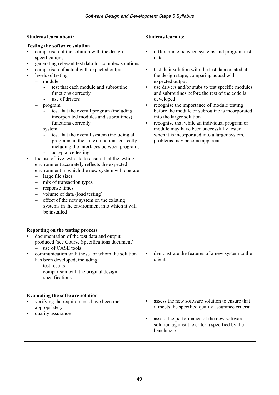| <b>Students learn about:</b>                                                                                                                                                                                                                                                                                                                                                                                                                                                                                                                                                                                                                                                                                                                                                                                                                                                                                                                                                                                                                                                                                                                                | <b>Students learn to:</b>                                                                                                                                                                                                                                                                                                                                                                                                                                                                                                                                                                                                                                                  |
|-------------------------------------------------------------------------------------------------------------------------------------------------------------------------------------------------------------------------------------------------------------------------------------------------------------------------------------------------------------------------------------------------------------------------------------------------------------------------------------------------------------------------------------------------------------------------------------------------------------------------------------------------------------------------------------------------------------------------------------------------------------------------------------------------------------------------------------------------------------------------------------------------------------------------------------------------------------------------------------------------------------------------------------------------------------------------------------------------------------------------------------------------------------|----------------------------------------------------------------------------------------------------------------------------------------------------------------------------------------------------------------------------------------------------------------------------------------------------------------------------------------------------------------------------------------------------------------------------------------------------------------------------------------------------------------------------------------------------------------------------------------------------------------------------------------------------------------------------|
| <b>Testing the software solution</b><br>comparison of the solution with the design<br>$\bullet$<br>specifications<br>generating relevant test data for complex solutions<br>$\bullet$<br>comparison of actual with expected output<br>$\bullet$<br>levels of testing<br>$\bullet$<br>module<br>test that each module and subroutine<br>functions correctly<br>use of drivers<br>program<br>test that the overall program (including<br>incorporated modules and subroutines)<br>functions correctly<br>system<br>test that the overall system (including all<br>programs in the suite) functions correctly,<br>including the interfaces between programs<br>acceptance testing<br>the use of live test data to ensure that the testing<br>$\bullet$<br>environment accurately reflects the expected<br>environment in which the new system will operate<br>large file sizes<br>mix of transaction types<br>$\qquad \qquad -$<br>response times<br>$\qquad \qquad -$<br>volume of data (load testing)<br>$\qquad \qquad -$<br>effect of the new system on the existing<br>$\qquad \qquad -$<br>systems in the environment into which it will<br>be installed | differentiate between systems and program test<br>$\bullet$<br>data<br>test their solution with the test data created at<br>$\bullet$<br>the design stage, comparing actual with<br>expected output<br>use drivers and/or stubs to test specific modules<br>$\bullet$<br>and subroutines before the rest of the code is<br>developed<br>recognise the importance of module testing<br>$\bullet$<br>before the module or subroutine is incorporated<br>into the larger solution<br>recognise that while an individual program or<br>$\bullet$<br>module may have been successfully tested,<br>when it is incorporated into a larger system,<br>problems may become apparent |
| Reporting on the testing process<br>documentation of the test data and output<br>produced (see Course Specifications document)<br>use of CASE tools<br>communication with those for whom the solution<br>$\bullet$<br>has been developed, including:<br>test results<br>comparison with the original design<br>specifications<br><b>Evaluating the software solution</b><br>verifying the requirements have been met<br>$\bullet$<br>appropriately<br>quality assurance<br>$\bullet$                                                                                                                                                                                                                                                                                                                                                                                                                                                                                                                                                                                                                                                                        | demonstrate the features of a new system to the<br>$\bullet$<br>client<br>assess the new software solution to ensure that<br>$\bullet$<br>it meets the specified quality assurance criteria<br>assess the performance of the new software<br>$\bullet$<br>solution against the criteria specified by the                                                                                                                                                                                                                                                                                                                                                                   |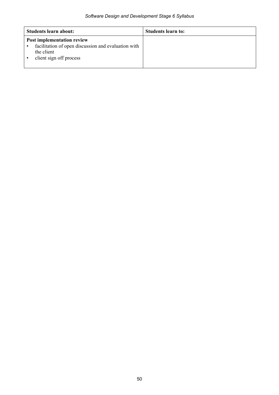| Students learn about:                                                                                                             | Students learn to: |
|-----------------------------------------------------------------------------------------------------------------------------------|--------------------|
| <b>Post implementation review</b><br>facilitation of open discussion and evaluation with<br>the client<br>client sign off process |                    |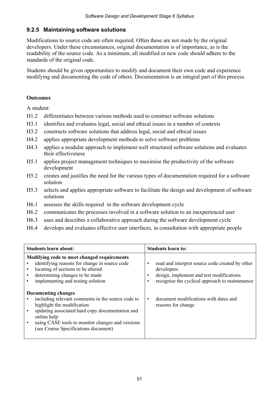#### **9.2.5 Maintaining software solutions**

Modifications to source code are often required. Often these are not made by the original developers. Under these circumstances, original documentation is of importance, as is the readability of the source code. As a minimum, all modified or new code should adhere to the standards of the original code.

Students should be given opportunities to modify and document their own code and experience modifying and documenting the code of others. Documentation is an integral part of this process.

#### **Outcomes**

- H1.2 differentiates between various methods used to construct software solutions
- H3.1 identifies and evaluates legal, social and ethical issues in a number of contexts
- H3.2 constructs software solutions that address legal, social and ethical issues
- H4.2 applies appropriate development methods to solve software problems
- H4.3 applies a modular approach to implement well structured software solutions and evaluates their effectiveness
- H5.1 applies project management techniques to maximise the productivity of the software development
- H5.2 creates and justifies the need for the various types of documentation required for a software solution
- H5.3 selects and applies appropriate software to facilitate the design and development of software solutions
- H6.1 assesses the skills required in the software development cycle
- H6.2 communicates the processes involved in a software solution to an inexperienced user
- H6.3 uses and describes a collaborative approach during the software development cycle
- H6.4 develops and evaluates effective user interfaces, in consultation with appropriate people

| <b>Students learn about:</b>                                                                                                                                                                                                                                                                                                                                                                                                                                                      | <b>Students learn to:</b>                                                                                                                                                                                                  |
|-----------------------------------------------------------------------------------------------------------------------------------------------------------------------------------------------------------------------------------------------------------------------------------------------------------------------------------------------------------------------------------------------------------------------------------------------------------------------------------|----------------------------------------------------------------------------------------------------------------------------------------------------------------------------------------------------------------------------|
| Modifying code to meet changed requirements<br>identifying reasons for change in source code<br>locating of sections to be altered<br>determining changes to be made<br>implementing and testing solution<br>Documenting changes<br>including relevant comments in the source code to<br>highlight the modification<br>updating associated hard copy documentation and<br>online help<br>using CASE tools to monitor changes and versions<br>(see Course Specifications document) | read and interpret source code created by other<br>developers<br>design, implement and test modifications<br>recognise the cyclical approach to maintenance<br>document modifications with dates and<br>reasons for change |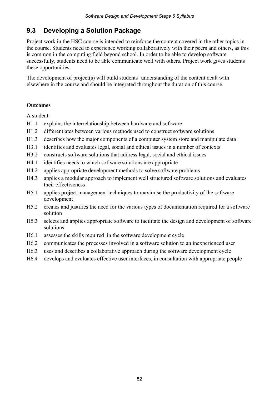### **9.3 Developing a Solution Package**

Project work in the HSC course is intended to reinforce the content covered in the other topics in the course. Students need to experience working collaboratively with their peers and others, as this is common in the computing field beyond school. In order to be able to develop software successfully, students need to be able communicate well with others. Project work gives students these opportunities.

The development of project(s) will build students' understanding of the content dealt with elsewhere in the course and should be integrated throughout the duration of this course.

#### **Outcomes**

- H1.1 explains the interrelationship between hardware and software
- H1.2 differentiates between various methods used to construct software solutions
- H1.3 describes how the major components of a computer system store and manipulate data
- H3.1 identifies and evaluates legal, social and ethical issues in a number of contexts
- H3.2 constructs software solutions that address legal, social and ethical issues
- H4.1 identifies needs to which software solutions are appropriate
- H4.2 applies appropriate development methods to solve software problems
- H4.3 applies a modular approach to implement well structured software solutions and evaluates their effectiveness
- H5.1 applies project management techniques to maximise the productivity of the software development
- H5.2 creates and justifies the need for the various types of documentation required for a software solution
- H5.3 selects and applies appropriate software to facilitate the design and development of software solutions
- H6.1 assesses the skills required in the software development cycle
- H6.2 communicates the processes involved in a software solution to an inexperienced user
- H6.3 uses and describes a collaborative approach during the software development cycle
- H6.4 develops and evaluates effective user interfaces, in consultation with appropriate people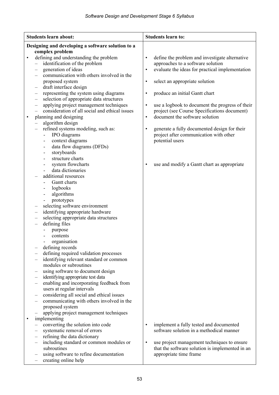|           | <b>Students learn about:</b>                                                            | <b>Students learn to:</b>                                    |
|-----------|-----------------------------------------------------------------------------------------|--------------------------------------------------------------|
|           | Designing and developing a software solution to a                                       |                                                              |
|           | complex problem                                                                         |                                                              |
| $\bullet$ | defining and understanding the problem                                                  | define the problem and investigate alternative<br>$\bullet$  |
|           | identification of the problem                                                           | approaches to a software solution                            |
|           | generation of ideas                                                                     | evaluate the ideas for practical implementation<br>$\bullet$ |
|           | communication with others involved in the                                               |                                                              |
|           | proposed system<br>draft interface design                                               | select an appropriate solution<br>$\bullet$                  |
|           | $\qquad \qquad -$<br>representing the system using diagrams<br>$\overline{\phantom{0}}$ | produce an initial Gantt chart<br>$\bullet$                  |
|           | selection of appropriate data structures<br>-                                           |                                                              |
|           | applying project management techniques<br>-                                             | use a logbook to document the progress of their<br>$\bullet$ |
|           | consideration of all social and ethical issues<br>$\qquad \qquad -$                     | project (see Course Specifications document)                 |
| $\bullet$ | planning and designing                                                                  | document the software solution<br>$\bullet$                  |
|           | algorithm design                                                                        |                                                              |
|           | refined systems modeling, such as:                                                      | generate a fully documented design for their<br>$\bullet$    |
|           | IPO diagrams                                                                            | project after communication with other                       |
|           | context diagrams                                                                        | potential users                                              |
|           | data flow diagrams (DFDs)<br>۰                                                          |                                                              |
|           | storyboards<br>٠                                                                        |                                                              |
|           | structure charts                                                                        |                                                              |
|           | system flowcharts<br>data dictionaries                                                  | use and modify a Gantt chart as appropriate<br>$\bullet$     |
|           | additional resources                                                                    |                                                              |
|           | Gantt charts                                                                            |                                                              |
|           | logbooks                                                                                |                                                              |
|           | algorithms<br>$\overline{\phantom{0}}$                                                  |                                                              |
|           | prototypes                                                                              |                                                              |
|           | selecting software environment<br>-                                                     |                                                              |
|           | identifying appropriate hardware<br>-                                                   |                                                              |
|           | selecting appropriate data structures<br>-                                              |                                                              |
|           | defining files<br>$\overline{\phantom{0}}$                                              |                                                              |
|           | purpose                                                                                 |                                                              |
|           | contents                                                                                |                                                              |
|           | organisation                                                                            |                                                              |
|           | defining records<br>defining required validation processes<br>$\overline{\phantom{0}}$  |                                                              |
|           | identifying relevant standard or common                                                 |                                                              |
|           | modules or subroutines                                                                  |                                                              |
|           | using software to document design                                                       |                                                              |
|           | identifying appropriate test data<br>$\qquad \qquad -$                                  |                                                              |
|           | enabling and incorporating feedback from                                                |                                                              |
|           | users at regular intervals                                                              |                                                              |
|           | considering all social and ethical issues                                               |                                                              |
|           | communicating with others involved in the                                               |                                                              |
|           | proposed system                                                                         |                                                              |
|           | applying project management techniques                                                  |                                                              |
| $\bullet$ | implementing<br>converting the solution into code                                       | implement a fully tested and documented<br>$\bullet$         |
|           | systematic removal of errors                                                            | software solution in a methodical manner                     |
|           | refining the data dictionary                                                            |                                                              |
|           | including standard or common modules or                                                 | use project management techniques to ensure<br>$\bullet$     |
|           | subroutines                                                                             | that the software solution is implemented in an              |
|           | using software to refine documentation                                                  | appropriate time frame                                       |
|           | creating online help                                                                    |                                                              |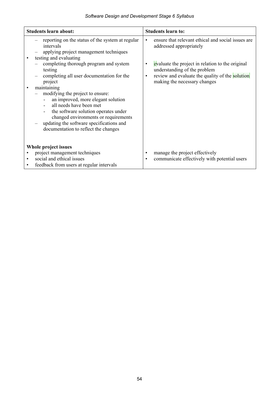| <b>Students learn about:</b>                                                                                                                                                                                                                                                                                                                                                                                                                                                                                                                        | <b>Students learn to:</b>                                                                                                                                                                                                                                                                   |
|-----------------------------------------------------------------------------------------------------------------------------------------------------------------------------------------------------------------------------------------------------------------------------------------------------------------------------------------------------------------------------------------------------------------------------------------------------------------------------------------------------------------------------------------------------|---------------------------------------------------------------------------------------------------------------------------------------------------------------------------------------------------------------------------------------------------------------------------------------------|
| reporting on the status of the system at regular<br>intervals<br>applying project management techniques<br>testing and evaluating<br>completing thorough program and system<br>testing<br>completing all user documentation for the<br>project<br>maintaining<br>$\bullet$<br>modifying the project to ensure:<br>an improved, more elegant solution<br>all needs have been met<br>the software solution operates under<br>changed environments or requirements<br>updating the software specifications and<br>documentation to reflect the changes | ensure that relevant ethical and social issues are<br>$\bullet$<br>addressed appropriately<br>evaluate the project in relation to the original<br>$\bullet$<br>understanding of the problem<br>review and evaluate the quality of the solution<br>$\bullet$<br>making the necessary changes |
| Whole project issues<br>project management techniques<br>social and ethical issues<br>$\bullet$<br>feedback from users at regular intervals                                                                                                                                                                                                                                                                                                                                                                                                         | manage the project effectively<br>$\bullet$<br>communicate effectively with potential users<br>$\bullet$                                                                                                                                                                                    |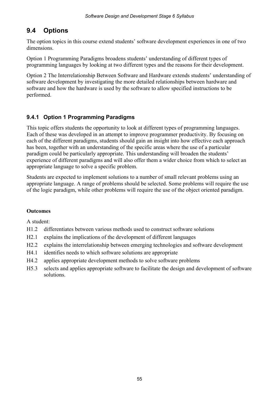### **9.4 Options**

The option topics in this course extend students' software development experiences in one of two dimensions.

Option 1 Programming Paradigms broadens students' understanding of different types of programming languages by looking at two different types and the reasons for their development.

Option 2 The Interrelationship Between Software and Hardware extends students' understanding of software development by investigating the more detailed relationships between hardware and software and how the hardware is used by the software to allow specified instructions to be performed.

### **9.4.1 Option 1 Programming Paradigms**

This topic offers students the opportunity to look at different types of programming languages. Each of these was developed in an attempt to improve programmer productivity. By focusing on each of the different paradigms, students should gain an insight into how effective each approach has been, together with an understanding of the specific areas where the use of a particular paradigm could be particularly appropriate. This understanding will broaden the students' experience of different paradigms and will also offer them a wider choice from which to select an appropriate language to solve a specific problem.

Students are expected to implement solutions to a number of small relevant problems using an appropriate language. A range of problems should be selected. Some problems will require the use of the logic paradigm, while other problems will require the use of the object oriented paradigm.

#### **Outcomes**

- H1.2 differentiates between various methods used to construct software solutions
- H2.1 explains the implications of the development of different languages
- H2.2 explains the interrelationship between emerging technologies and software development
- H4.1 identifies needs to which software solutions are appropriate
- H4.2 applies appropriate development methods to solve software problems
- H5.3 selects and applies appropriate software to facilitate the design and development of software solutions.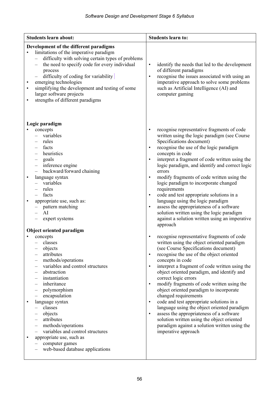| <b>Students learn about:</b>                                                                                                                                                                                                                                                                                                                                                                                                                                                                               | <b>Students learn to:</b>                                                                                                                                                                                                                                                                                                                                                                                                                                                                                                                                                                                                                                                                                                                                                            |
|------------------------------------------------------------------------------------------------------------------------------------------------------------------------------------------------------------------------------------------------------------------------------------------------------------------------------------------------------------------------------------------------------------------------------------------------------------------------------------------------------------|--------------------------------------------------------------------------------------------------------------------------------------------------------------------------------------------------------------------------------------------------------------------------------------------------------------------------------------------------------------------------------------------------------------------------------------------------------------------------------------------------------------------------------------------------------------------------------------------------------------------------------------------------------------------------------------------------------------------------------------------------------------------------------------|
| Development of the different paradigms<br>limitations of the imperative paradigm<br>difficulty with solving certain types of problems<br>$\overline{\phantom{0}}$<br>the need to specify code for every individual<br>$\overline{\phantom{0}}$<br>process<br>difficulty of coding for variability<br>emerging technologies<br>$\bullet$<br>simplifying the development and testing of some<br>$\bullet$<br>larger software projects<br>strengths of different paradigms<br>$\bullet$                       | identify the needs that led to the development<br>$\bullet$<br>of different paradigms<br>recognise the issues associated with using an<br>$\bullet$<br>imperative approach to solve some problems<br>such as Artificial Intelligence (AI) and<br>computer gaming                                                                                                                                                                                                                                                                                                                                                                                                                                                                                                                     |
| Logic paradigm<br>concepts<br>variables<br>rules<br>facts<br>heuristics<br>goals<br>$\overline{\phantom{0}}$<br>inference engine<br>$\qquad \qquad -$<br>backward/forward chaining<br>$\overline{\phantom{0}}$<br>language syntax<br>$\bullet$<br>variables<br>rules<br>facts<br>appropriate use, such as:<br>pattern matching<br>AI<br>expert systems<br>Object oriented paradigm                                                                                                                         | recognise representative fragments of code<br>$\bullet$<br>written using the logic paradigm (see Course<br>Specifications document)<br>recognise the use of the logic paradigm<br>$\bullet$<br>concepts in code<br>interpret a fragment of code written using the<br>$\bullet$<br>logic paradigm, and identify and correct logic<br>errors<br>modify fragments of code written using the<br>$\bullet$<br>logic paradigm to incorporate changed<br>requirements<br>code and test appropriate solutions in a<br>$\bullet$<br>language using the logic paradigm<br>assess the appropriateness of a software<br>$\bullet$<br>solution written using the logic paradigm<br>against a solution written using an imperative<br>approach                                                     |
| concepts<br>classes<br>objects<br>attributes<br>—<br>methods/operations<br>$\overline{\phantom{0}}$<br>variables and control structures<br>abstraction<br>—<br>instantiation<br>inheritance<br>polymorphism<br>encapsulation<br>language syntax<br>classes<br>objects<br>attributes<br>$\qquad \qquad -$<br>methods/operations<br>$\qquad \qquad -$<br>variables and control structures<br>$\qquad \qquad -$<br>appropriate use, such as<br>$\bullet$<br>computer games<br>web-based database applications | recognise representative fragments of code<br>$\bullet$<br>written using the object oriented paradigm<br>(see Course Specifications document)<br>recognise the use of the object oriented<br>$\bullet$<br>concepts in code<br>interpret a fragment of code written using the<br>$\bullet$<br>object oriented paradigm, and identify and<br>correct logic errors<br>modify fragments of code written using the<br>$\bullet$<br>object oriented paradigm to incorporate<br>changed requirements<br>code and test appropriate solutions in a<br>$\bullet$<br>language using the object oriented paradigm<br>assess the appropriateness of a software<br>$\bullet$<br>solution written using the object oriented<br>paradigm against a solution written using the<br>imperative approach |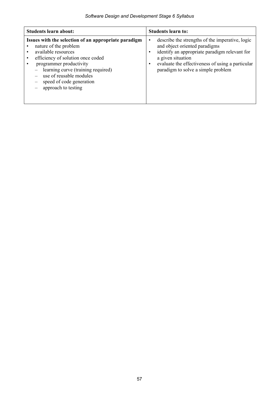| <b>Students learn about:</b>                                                                                                                                                                                                                                                             | <b>Students learn to:</b>                                                                                                                                                                                                                                          |
|------------------------------------------------------------------------------------------------------------------------------------------------------------------------------------------------------------------------------------------------------------------------------------------|--------------------------------------------------------------------------------------------------------------------------------------------------------------------------------------------------------------------------------------------------------------------|
| Issues with the selection of an appropriate paradigm<br>nature of the problem<br>available resources<br>efficiency of solution once coded<br>programmer productivity<br>learning curve (training required)<br>use of reusable modules<br>speed of code generation<br>approach to testing | describe the strengths of the imperative, logic<br>$\bullet$<br>and object oriented paradigms<br>identify an appropriate paradigm relevant for<br>٠<br>a given situation<br>evaluate the effectiveness of using a particular<br>paradigm to solve a simple problem |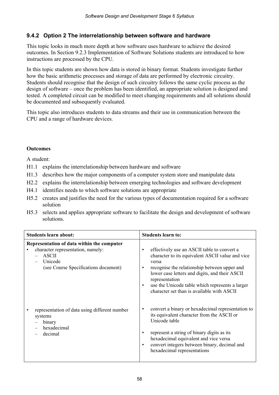#### **9.4.2 Option 2 The interrelationship between software and hardware**

This topic looks in much more depth at how software uses hardware to achieve the desired outcomes. In Section 9.2.3 Implementation of Software Solutions students are introduced to how instructions are processed by the CPU.

In this topic students are shown how data is stored in binary format. Students investigate further how the basic arithmetic processes and storage of data are performed by electronic circuitry. Students should recognise that the design of such circuitry follows the same cyclic process as the design of software – once the problem has been identified, an appropriate solution is designed and tested. A completed circuit can be modified to meet changing requirements and all solutions should be documented and subsequently evaluated.

This topic also introduces students to data streams and their use in communication between the CPU and a range of hardware devices.

#### **Outcomes**

- H1.1 explains the interrelationship between hardware and software
- H1.3 describes how the major components of a computer system store and manipulate data
- H2.2 explains the interrelationship between emerging technologies and software development
- H4.1 identifies needs to which software solutions are appropriate
- H5.2 creates and justifies the need for the various types of documentation required for a software solution
- H5.3 selects and applies appropriate software to facilitate the design and development of software solutions.

| <b>Students learn about:</b>                                                                                                                       | <b>Students learn to:</b>                                                                                                                                                                                                                                                                                                                                            |
|----------------------------------------------------------------------------------------------------------------------------------------------------|----------------------------------------------------------------------------------------------------------------------------------------------------------------------------------------------------------------------------------------------------------------------------------------------------------------------------------------------------------------------|
| Representation of data within the computer<br>character representation, namely:<br><b>ASCII</b><br>Unicode<br>(see Course Specifications document) | effectively use an ASCII table to convert a<br>$\bullet$<br>character to its equivalent ASCII value and vice<br>versa<br>recognise the relationship between upper and<br>$\bullet$<br>lower case letters and digits, and their ASCII<br>representation<br>use the Unicode table which represents a larger<br>$\bullet$<br>character set than is available with ASCII |
| representation of data using different number<br>systems<br>binary<br>hexadecimal<br>decimal                                                       | convert a binary or hexadecimal representation to<br>$\bullet$<br>its equivalent character from the ASCII or<br>Unicode table<br>represent a string of binary digits as its<br>hexadecimal equivalent and vice versa<br>convert integers between binary, decimal and<br>$\bullet$<br>hexadecimal representations                                                     |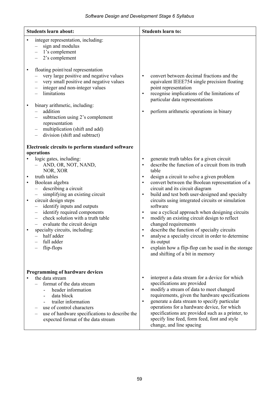| <b>Students learn about:</b>                                                                                                                                                                                                                                                                                                                                                                                                                                                                                                                                        | <b>Students learn to:</b>                                                                                                                                                                                                                                                                                                                                                                                                                                                                                                                                                                                                                                                                                                                                                                                                |
|---------------------------------------------------------------------------------------------------------------------------------------------------------------------------------------------------------------------------------------------------------------------------------------------------------------------------------------------------------------------------------------------------------------------------------------------------------------------------------------------------------------------------------------------------------------------|--------------------------------------------------------------------------------------------------------------------------------------------------------------------------------------------------------------------------------------------------------------------------------------------------------------------------------------------------------------------------------------------------------------------------------------------------------------------------------------------------------------------------------------------------------------------------------------------------------------------------------------------------------------------------------------------------------------------------------------------------------------------------------------------------------------------------|
| integer representation, including:<br>sign and modulus<br>1's complement<br>$\overline{\phantom{0}}$<br>2's complement<br>$\overline{\phantom{0}}$                                                                                                                                                                                                                                                                                                                                                                                                                  |                                                                                                                                                                                                                                                                                                                                                                                                                                                                                                                                                                                                                                                                                                                                                                                                                          |
| floating point/real representation<br>$\bullet$<br>very large positive and negative values<br>very small positive and negative values<br>integer and non-integer values<br>$\overline{\phantom{0}}$<br>limitations                                                                                                                                                                                                                                                                                                                                                  | convert between decimal fractions and the<br>$\bullet$<br>equivalent IEEE754 single precision floating<br>point representation<br>recognise implications of the limitations of<br>$\bullet$<br>particular data representations                                                                                                                                                                                                                                                                                                                                                                                                                                                                                                                                                                                           |
| binary arithmetic, including:<br>$\bullet$<br>addition<br>$ \,$<br>subtraction using 2's complement<br>$\qquad \qquad -$<br>representation<br>multiplication (shift and add)<br>division (shift and subtract)                                                                                                                                                                                                                                                                                                                                                       | perform arithmetic operations in binary<br>$\bullet$                                                                                                                                                                                                                                                                                                                                                                                                                                                                                                                                                                                                                                                                                                                                                                     |
| Electronic circuits to perform standard software                                                                                                                                                                                                                                                                                                                                                                                                                                                                                                                    |                                                                                                                                                                                                                                                                                                                                                                                                                                                                                                                                                                                                                                                                                                                                                                                                                          |
| operations<br>logic gates, including:<br>$\bullet$<br>- AND, OR, NOT, NAND,<br>NOR, XOR<br>truth tables<br>$\bullet$<br>Boolean algebra<br>$\bullet$<br>$-$ describing a circuit<br>- simplifying an existing circuit<br>circuit design steps<br>$\bullet$<br>identify inputs and outputs<br>$\qquad \qquad -$<br>identify required components<br>$\qquad \qquad -$<br>check solution with a truth table<br>$\overline{\phantom{0}}$<br>evaluate the circuit design<br>$-$<br>specialty circuits, including:<br>$\bullet$<br>half adder<br>full adder<br>flip-flops | generate truth tables for a given circuit<br>$\bullet$<br>describe the function of a circuit from its truth<br>$\bullet$<br>table<br>design a circuit to solve a given problem<br>$\bullet$<br>convert between the Boolean representation of a<br>$\bullet$<br>circuit and its circuit diagram<br>build and test both user-designed and specialty<br>$\bullet$<br>circuits using integrated circuits or simulation<br>software<br>use a cyclical approach when designing circuits<br>$\bullet$<br>modify an existing circuit design to reflect<br>$\bullet$<br>changed requirements<br>describe the function of specialty circuits<br>$\bullet$<br>analyse a specialty circuit in order to determine<br>its output<br>explain how a flip-flop can be used in the storage<br>$\bullet$<br>and shifting of a bit in memory |
| Programming of hardware devices<br>the data stream<br>format of the data stream<br>header information<br>data block<br>trailer information<br>use of control characters<br>use of hardware specifications to describe the<br>expected format of the data stream                                                                                                                                                                                                                                                                                                     | interpret a data stream for a device for which<br>$\bullet$<br>specifications are provided<br>modify a stream of data to meet changed<br>$\bullet$<br>requirements, given the hardware specifications<br>generate a data stream to specify particular<br>$\bullet$<br>operations for a hardware device, for which<br>specifications are provided such as a printer, to<br>specify line feed, form feed, font and style<br>change, and line spacing                                                                                                                                                                                                                                                                                                                                                                       |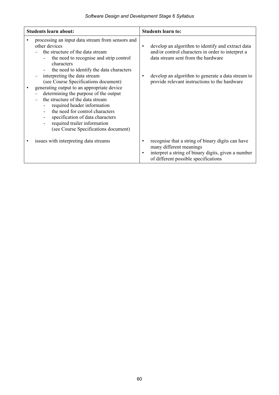| <b>Students learn about:</b>                                                                                                                                                                                                                                                                                                                                                                                                                                                                                                                                                                | <b>Students learn to:</b>                                                                                                                                                                                                                                            |
|---------------------------------------------------------------------------------------------------------------------------------------------------------------------------------------------------------------------------------------------------------------------------------------------------------------------------------------------------------------------------------------------------------------------------------------------------------------------------------------------------------------------------------------------------------------------------------------------|----------------------------------------------------------------------------------------------------------------------------------------------------------------------------------------------------------------------------------------------------------------------|
| processing an input data stream from sensors and<br>other devices<br>the structure of the data stream<br>the need to recognise and strip control<br>characters<br>the need to identify the data characters<br>interpreting the data stream<br>(see Course Specifications document)<br>generating output to an appropriate device<br>determining the purpose of the output<br>the structure of the data stream<br>required header information<br>the need for control characters<br>specification of data characters<br>required trailer information<br>(see Course Specifications document) | develop an algorithm to identify and extract data<br>$\bullet$<br>and/or control characters in order to interpret a<br>data stream sent from the hardware<br>develop an algorithm to generate a data stream to<br>٠<br>provide relevant instructions to the hardware |
| issues with interpreting data streams                                                                                                                                                                                                                                                                                                                                                                                                                                                                                                                                                       | recognise that a string of binary digits can have<br>٠<br>many different meanings<br>interpret a string of binary digits, given a number<br>$\bullet$<br>of different possible specifications                                                                        |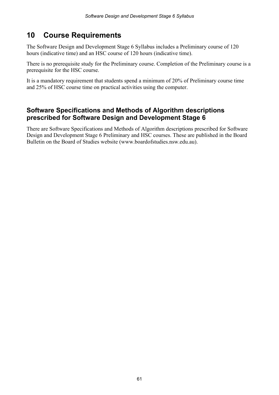# **10 Course Requirements**

The Software Design and Development Stage 6 Syllabus includes a Preliminary course of 120 hours (indicative time) and an HSC course of 120 hours (indicative time).

There is no prerequisite study for the Preliminary course. Completion of the Preliminary course is a prerequisite for the HSC course.

It is a mandatory requirement that students spend a minimum of 20% of Preliminary course time and 25% of HSC course time on practical activities using the computer.

### **Software Specifications and Methods of Algorithm descriptions prescribed for Software Design and Development Stage 6**

There are Software Specifications and Methods of Algorithm descriptions prescribed for Software Design and Development Stage 6 Preliminary and HSC courses. These are published in the Board Bulletin on the Board of Studies website (www.boardofstudies.nsw.edu.au).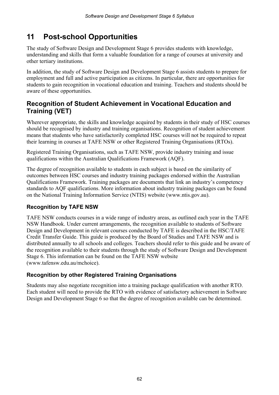# **11 Post-school Opportunities**

The study of Software Design and Development Stage 6 provides students with knowledge, understanding and skills that form a valuable foundation for a range of courses at university and other tertiary institutions.

In addition, the study of Software Design and Development Stage 6 assists students to prepare for employment and full and active participation as citizens. In particular, there are opportunities for students to gain recognition in vocational education and training. Teachers and students should be aware of these opportunities.

### **Recognition of Student Achievement in Vocational Education and Training (VET)**

Wherever appropriate, the skills and knowledge acquired by students in their study of HSC courses should be recognised by industry and training organisations. Recognition of student achievement means that students who have satisfactorily completed HSC courses will not be required to repeat their learning in courses at TAFE NSW or other Registered Training Organisations (RTOs).

Registered Training Organisations, such as TAFE NSW, provide industry training and issue qualifications within the Australian Qualifications Framework (AQF).

The degree of recognition available to students in each subject is based on the similarity of outcomes between HSC courses and industry training packages endorsed within the Australian Qualifications Framework. Training packages are documents that link an industry's competency standards to AQF qualifications. More information about industry training packages can be found on the National Training Information Service (NTIS) website (www.ntis.gov.au).

#### **Recognition by TAFE NSW**

TAFE NSW conducts courses in a wide range of industry areas, as outlined each year in the TAFE NSW Handbook. Under current arrangements, the recognition available to students of Software Design and Development in relevant courses conducted by TAFE is described in the HSC/TAFE Credit Transfer Guide. This guide is produced by the Board of Studies and TAFE NSW and is distributed annually to all schools and colleges. Teachers should refer to this guide and be aware of the recognition available to their students through the study of Software Design and Development Stage 6. This information can be found on the TAFE NSW website (www.tafensw.edu.au/mchoice).

#### **Recognition by other Registered Training Organisations**

Students may also negotiate recognition into a training package qualification with another RTO. Each student will need to provide the RTO with evidence of satisfactory achievement in Software Design and Development Stage 6 so that the degree of recognition available can be determined.